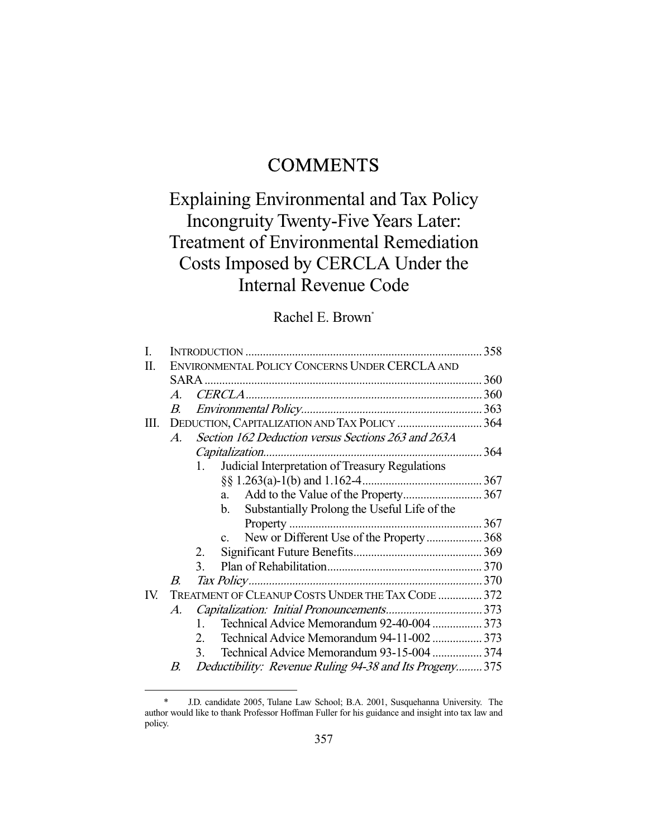## **COMMENTS**

# Explaining Environmental and Tax Policy Incongruity Twenty-Five Years Later: Treatment of Environmental Remediation Costs Imposed by CERCLA Under the Internal Revenue Code

## Rachel E. Brown\*

| L    |                                                                     |                                                            |  |  |  |  |
|------|---------------------------------------------------------------------|------------------------------------------------------------|--|--|--|--|
| П    | ENVIRONMENTAL POLICY CONCERNS UNDER CERCLA AND                      |                                                            |  |  |  |  |
|      |                                                                     |                                                            |  |  |  |  |
|      | $\mathcal{A}$                                                       |                                                            |  |  |  |  |
|      | $B_{\cdot}$                                                         |                                                            |  |  |  |  |
| III. | DEDUCTION, CAPITALIZATION AND TAX POLICY  364                       |                                                            |  |  |  |  |
|      | Section 162 Deduction versus Sections 263 and 263A<br>$\mathcal{A}$ |                                                            |  |  |  |  |
|      | Capitalization                                                      |                                                            |  |  |  |  |
|      | $1_{-}$                                                             | Judicial Interpretation of Treasury Regulations            |  |  |  |  |
|      |                                                                     |                                                            |  |  |  |  |
|      |                                                                     | a.                                                         |  |  |  |  |
|      |                                                                     | Substantially Prolong the Useful Life of the<br>b.         |  |  |  |  |
|      |                                                                     |                                                            |  |  |  |  |
|      |                                                                     | New or Different Use of the Property 368<br>$\mathbf{c}$ . |  |  |  |  |
|      | 2.                                                                  |                                                            |  |  |  |  |
|      | 3.                                                                  |                                                            |  |  |  |  |
|      | B.                                                                  |                                                            |  |  |  |  |
| IV.  |                                                                     | TREATMENT OF CLEANUP COSTS UNDER THE TAX CODE  372         |  |  |  |  |
|      | A.                                                                  |                                                            |  |  |  |  |
|      | 1.                                                                  | Technical Advice Memorandum 92-40-004  373                 |  |  |  |  |
|      | 2.                                                                  | Technical Advice Memorandum 94-11-002  373                 |  |  |  |  |
|      | $\mathcal{E}$                                                       | Technical Advice Memorandum 93-15-004  374                 |  |  |  |  |
|      | B.                                                                  | Deductibility: Revenue Ruling 94-38 and Its Progeny375     |  |  |  |  |
|      |                                                                     |                                                            |  |  |  |  |

 <sup>\*</sup> J.D. candidate 2005, Tulane Law School; B.A. 2001, Susquehanna University. The author would like to thank Professor Hoffman Fuller for his guidance and insight into tax law and policy.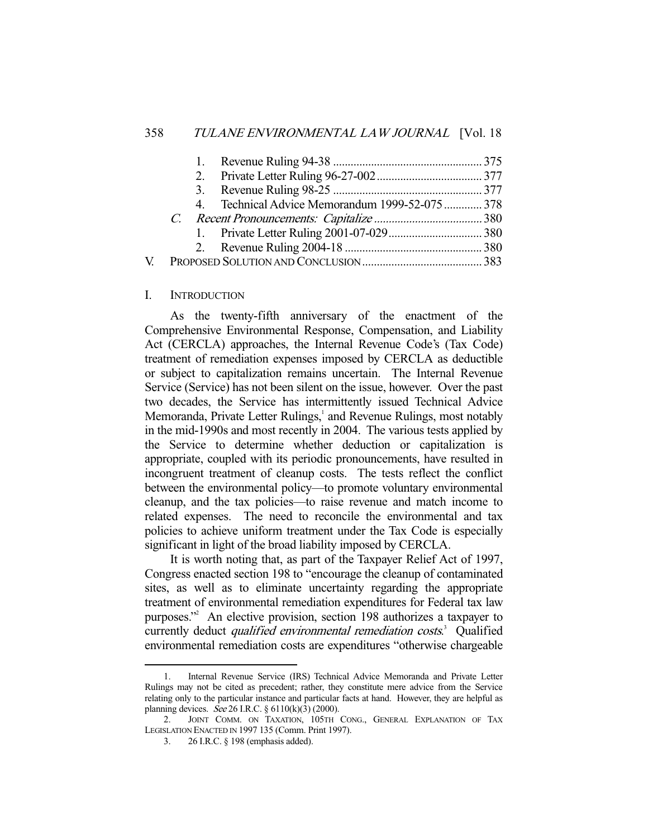|     |  | 4. Technical Advice Memorandum 1999-52-075  378 |  |
|-----|--|-------------------------------------------------|--|
|     |  |                                                 |  |
|     |  |                                                 |  |
|     |  |                                                 |  |
| V – |  |                                                 |  |
|     |  |                                                 |  |

#### I. INTRODUCTION

 As the twenty-fifth anniversary of the enactment of the Comprehensive Environmental Response, Compensation, and Liability Act (CERCLA) approaches, the Internal Revenue Code's (Tax Code) treatment of remediation expenses imposed by CERCLA as deductible or subject to capitalization remains uncertain. The Internal Revenue Service (Service) has not been silent on the issue, however. Over the past two decades, the Service has intermittently issued Technical Advice Memoranda, Private Letter Rulings,<sup>1</sup> and Revenue Rulings, most notably in the mid-1990s and most recently in 2004. The various tests applied by the Service to determine whether deduction or capitalization is appropriate, coupled with its periodic pronouncements, have resulted in incongruent treatment of cleanup costs. The tests reflect the conflict between the environmental policy—to promote voluntary environmental cleanup, and the tax policies—to raise revenue and match income to related expenses. The need to reconcile the environmental and tax policies to achieve uniform treatment under the Tax Code is especially significant in light of the broad liability imposed by CERCLA.

 It is worth noting that, as part of the Taxpayer Relief Act of 1997, Congress enacted section 198 to "encourage the cleanup of contaminated sites, as well as to eliminate uncertainty regarding the appropriate treatment of environmental remediation expenditures for Federal tax law purposes."2 An elective provision, section 198 authorizes a taxpayer to currently deduct *qualified environmental remediation costs*.<sup>3</sup> Qualified environmental remediation costs are expenditures "otherwise chargeable

 <sup>1.</sup> Internal Revenue Service (IRS) Technical Advice Memoranda and Private Letter Rulings may not be cited as precedent; rather, they constitute mere advice from the Service relating only to the particular instance and particular facts at hand. However, they are helpful as planning devices. See 26 I.R.C. § 6110(k)(3) (2000).

 <sup>2.</sup> JOINT COMM. ON TAXATION, 105TH CONG., GENERAL EXPLANATION OF TAX LEGISLATION ENACTED IN 1997 135 (Comm. Print 1997).

 <sup>3. 26</sup> I.R.C. § 198 (emphasis added).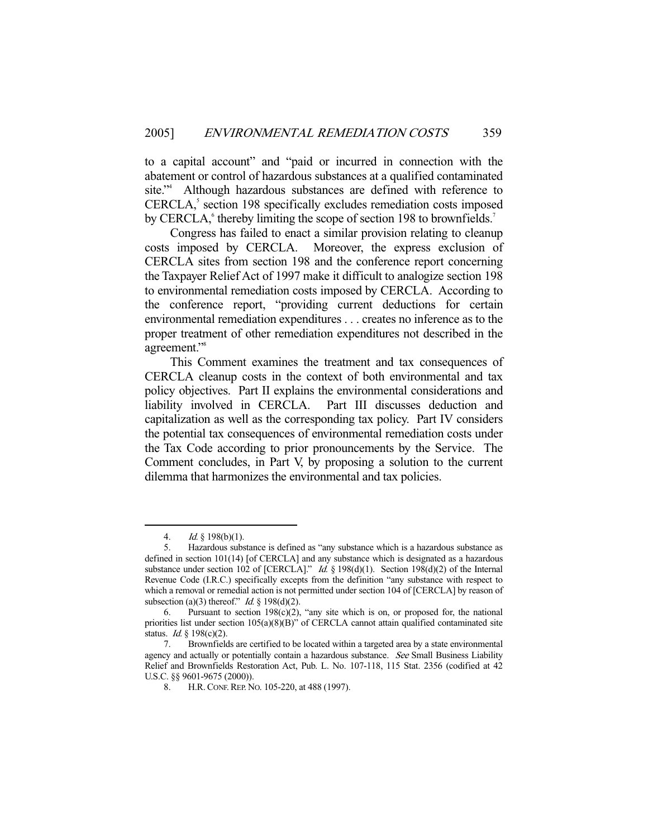to a capital account" and "paid or incurred in connection with the abatement or control of hazardous substances at a qualified contaminated site."<sup>4</sup> Although hazardous substances are defined with reference to CERCLA,<sup>5</sup> section 198 specifically excludes remediation costs imposed by CERCLA, thereby limiting the scope of section 198 to brownfields.<sup>7</sup>

 Congress has failed to enact a similar provision relating to cleanup costs imposed by CERCLA. Moreover, the express exclusion of CERCLA sites from section 198 and the conference report concerning the Taxpayer Relief Act of 1997 make it difficult to analogize section 198 to environmental remediation costs imposed by CERCLA. According to the conference report, "providing current deductions for certain environmental remediation expenditures . . . creates no inference as to the proper treatment of other remediation expenditures not described in the agreement."<sup>8</sup>

 This Comment examines the treatment and tax consequences of CERCLA cleanup costs in the context of both environmental and tax policy objectives. Part II explains the environmental considerations and liability involved in CERCLA. Part III discusses deduction and capitalization as well as the corresponding tax policy. Part IV considers the potential tax consequences of environmental remediation costs under the Tax Code according to prior pronouncements by the Service. The Comment concludes, in Part V, by proposing a solution to the current dilemma that harmonizes the environmental and tax policies.

<sup>4.</sup> *Id.* § 198(b)(1).

 <sup>5.</sup> Hazardous substance is defined as "any substance which is a hazardous substance as defined in section 101(14) [of CERCLA] and any substance which is designated as a hazardous substance under section 102 of [CERCLA]." Id. § 198(d)(1). Section 198(d)(2) of the Internal Revenue Code (I.R.C.) specifically excepts from the definition "any substance with respect to which a removal or remedial action is not permitted under section 104 of [CERCLA] by reason of subsection (a)(3) thereof." *Id.*  $\S$  198(d)(2).

<sup>6.</sup> Pursuant to section  $198(c)(2)$ , "any site which is on, or proposed for, the national priorities list under section 105(a)(8)(B)" of CERCLA cannot attain qualified contaminated site status. *Id.*  $\frac{8}{2}$  198(c)(2).

 <sup>7.</sup> Brownfields are certified to be located within a targeted area by a state environmental agency and actually or potentially contain a hazardous substance. See Small Business Liability Relief and Brownfields Restoration Act, Pub. L. No. 107-118, 115 Stat. 2356 (codified at 42 U.S.C. §§ 9601-9675 (2000)).

H.R. CONF. REP. No. 105-220, at 488 (1997).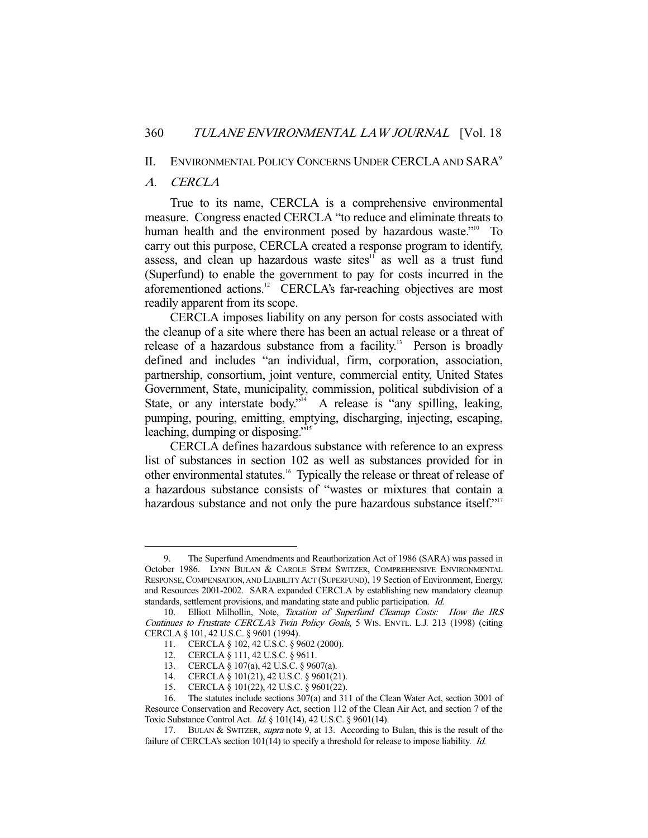#### II. ENVIRONMENTAL POLICY CONCERNS UNDER CERCLA AND SARA<sup>9</sup>

## A. CERCLA

-

 True to its name, CERCLA is a comprehensive environmental measure. Congress enacted CERCLA "to reduce and eliminate threats to human health and the environment posed by hazardous waste."<sup>10</sup> To carry out this purpose, CERCLA created a response program to identify, assess, and clean up hazardous waste sites $11$  as well as a trust fund (Superfund) to enable the government to pay for costs incurred in the aforementioned actions.<sup>12</sup> CERCLA's far-reaching objectives are most readily apparent from its scope.

 CERCLA imposes liability on any person for costs associated with the cleanup of a site where there has been an actual release or a threat of release of a hazardous substance from a facility.<sup>13</sup> Person is broadly defined and includes "an individual, firm, corporation, association, partnership, consortium, joint venture, commercial entity, United States Government, State, municipality, commission, political subdivision of a State, or any interstate body."<sup>14</sup> A release is "any spilling, leaking, pumping, pouring, emitting, emptying, discharging, injecting, escaping, leaching, dumping or disposing."15

 CERCLA defines hazardous substance with reference to an express list of substances in section 102 as well as substances provided for in other environmental statutes.<sup>16</sup> Typically the release or threat of release of a hazardous substance consists of "wastes or mixtures that contain a hazardous substance and not only the pure hazardous substance itself."<sup>17</sup>

 <sup>9.</sup> The Superfund Amendments and Reauthorization Act of 1986 (SARA) was passed in October 1986. LYNN BULAN & CAROLE STEM SWITZER, COMPREHENSIVE ENVIRONMENTAL RESPONSE,COMPENSATION, AND LIABILITY ACT (SUPERFUND), 19 Section of Environment, Energy, and Resources 2001-2002. SARA expanded CERCLA by establishing new mandatory cleanup standards, settlement provisions, and mandating state and public participation. Id.

<sup>10.</sup> Elliott Milhollin, Note, Taxation of Superfund Cleanup Costs: How the IRS Continues to Frustrate CERCLA's Twin Policy Goals, 5 WIS. ENVTL. L.J. 213 (1998) (citing CERCLA § 101, 42 U.S.C. § 9601 (1994).

 <sup>11.</sup> CERCLA § 102, 42 U.S.C. § 9602 (2000).

 <sup>12.</sup> CERCLA § 111, 42 U.S.C. § 9611.

 <sup>13.</sup> CERCLA § 107(a), 42 U.S.C. § 9607(a).

 <sup>14.</sup> CERCLA § 101(21), 42 U.S.C. § 9601(21).

 <sup>15.</sup> CERCLA § 101(22), 42 U.S.C. § 9601(22).

 <sup>16.</sup> The statutes include sections 307(a) and 311 of the Clean Water Act, section 3001 of Resource Conservation and Recovery Act, section 112 of the Clean Air Act, and section 7 of the Toxic Substance Control Act. Id. § 101(14), 42 U.S.C. § 9601(14).

<sup>17.</sup> BULAN & SWITZER, supra note 9, at 13. According to Bulan, this is the result of the failure of CERCLA's section 101(14) to specify a threshold for release to impose liability.  $Id$ .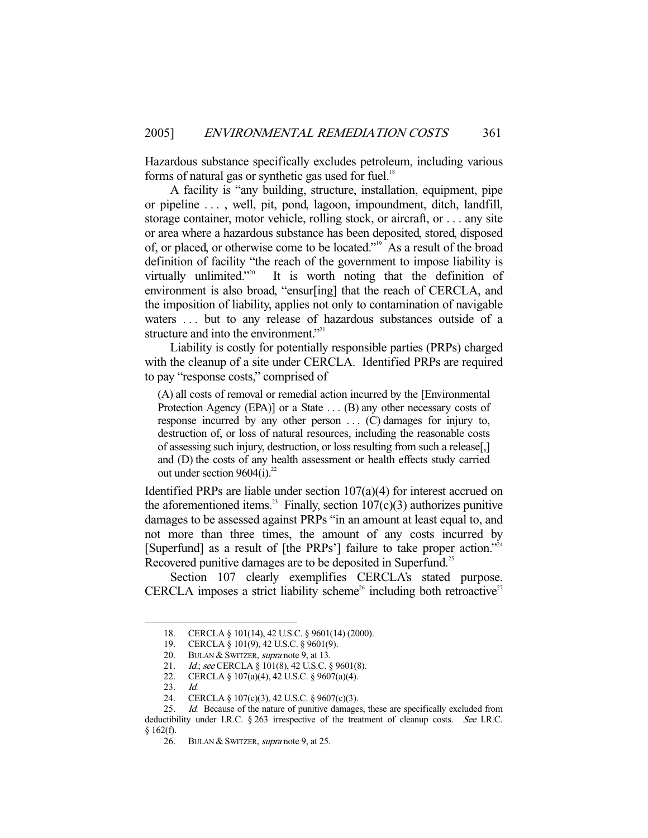Hazardous substance specifically excludes petroleum, including various forms of natural gas or synthetic gas used for fuel.<sup>18</sup>

 A facility is "any building, structure, installation, equipment, pipe or pipeline . . . , well, pit, pond, lagoon, impoundment, ditch, landfill, storage container, motor vehicle, rolling stock, or aircraft, or . . . any site or area where a hazardous substance has been deposited, stored, disposed of, or placed, or otherwise come to be located."19 As a result of the broad definition of facility "the reach of the government to impose liability is virtually unlimited."20 It is worth noting that the definition of environment is also broad, "ensur[ing] that the reach of CERCLA, and the imposition of liability, applies not only to contamination of navigable waters ... but to any release of hazardous substances outside of a structure and into the environment."<sup>21</sup>

 Liability is costly for potentially responsible parties (PRPs) charged with the cleanup of a site under CERCLA. Identified PRPs are required to pay "response costs," comprised of

(A) all costs of removal or remedial action incurred by the [Environmental Protection Agency (EPA)] or a State . . . (B) any other necessary costs of response incurred by any other person . . . (C) damages for injury to, destruction of, or loss of natural resources, including the reasonable costs of assessing such injury, destruction, or loss resulting from such a release[,] and (D) the costs of any health assessment or health effects study carried out under section  $9604(i).^{22}$ 

Identified PRPs are liable under section 107(a)(4) for interest accrued on the aforementioned items.<sup>23</sup> Finally, section  $107(c)(3)$  authorizes punitive damages to be assessed against PRPs "in an amount at least equal to, and not more than three times, the amount of any costs incurred by [Superfund] as a result of [the PRPs'] failure to take proper action."<sup>24</sup> Recovered punitive damages are to be deposited in Superfund.<sup>25</sup>

Section 107 clearly exemplifies CERCLA's stated purpose. CERCLA imposes a strict liability scheme<sup>26</sup> including both retroactive<sup>27</sup>

 <sup>18.</sup> CERCLA § 101(14), 42 U.S.C. § 9601(14) (2000).

 <sup>19.</sup> CERCLA § 101(9), 42 U.S.C. § 9601(9).

<sup>20.</sup> BULAN & SWITZER, supra note 9, at 13.

<sup>21.</sup> Id.; see CERCLA § 101(8), 42 U.S.C. § 9601(8).

 <sup>22.</sup> CERCLA § 107(a)(4), 42 U.S.C. § 9607(a)(4).

 <sup>23.</sup> Id.

 <sup>24.</sup> CERCLA § 107(c)(3), 42 U.S.C. § 9607(c)(3).

<sup>25.</sup> Id. Because of the nature of punitive damages, these are specifically excluded from deductibility under I.R.C. § 263 irrespective of the treatment of cleanup costs. See I.R.C.  $§ 162(f).$ 

<sup>26.</sup> BULAN & SWITZER, supra note 9, at 25.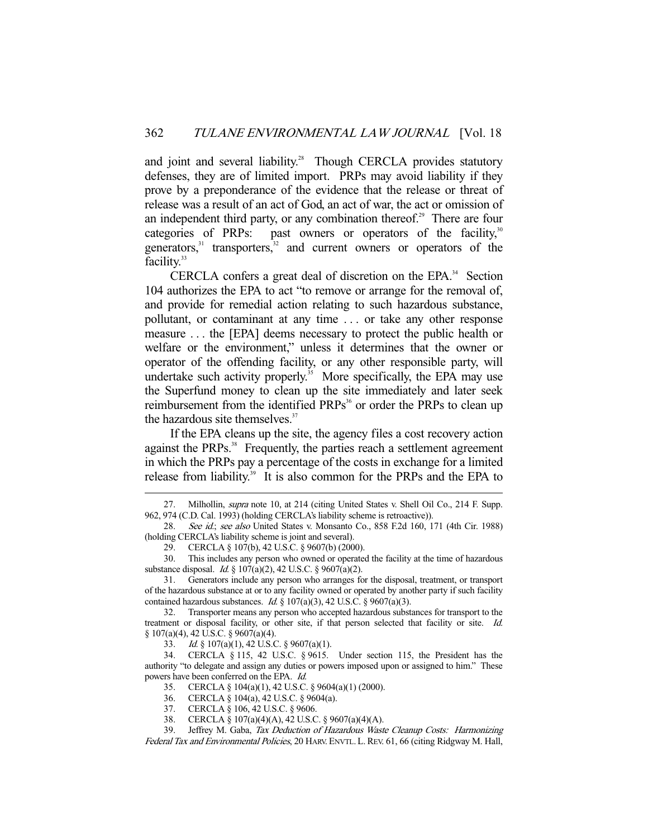and joint and several liability.<sup>28</sup> Though CERCLA provides statutory defenses, they are of limited import. PRPs may avoid liability if they prove by a preponderance of the evidence that the release or threat of release was a result of an act of God, an act of war, the act or omission of an independent third party, or any combination thereof.<sup>29</sup> There are four categories of PRPs: past owners or operators of the facility, $30^\circ$ generators, $31$  transporters, $32$  and current owners or operators of the facility.<sup>33</sup>

CERCLA confers a great deal of discretion on the EPA. $34$  Section 104 authorizes the EPA to act "to remove or arrange for the removal of, and provide for remedial action relating to such hazardous substance, pollutant, or contaminant at any time . . . or take any other response measure . . . the [EPA] deems necessary to protect the public health or welfare or the environment," unless it determines that the owner or operator of the offending facility, or any other responsible party, will undertake such activity properly.<sup>35</sup> More specifically, the EPA may use the Superfund money to clean up the site immediately and later seek reimbursement from the identified PRPs<sup>36</sup> or order the PRPs to clean up the hazardous site themselves.<sup>37</sup>

 If the EPA cleans up the site, the agency files a cost recovery action against the PRPs.<sup>38</sup> Frequently, the parties reach a settlement agreement in which the PRPs pay a percentage of the costs in exchange for a limited release from liability.<sup>39</sup> It is also common for the PRPs and the EPA to

-

33. Id. § 107(a)(1), 42 U.S.C. § 9607(a)(1).

<sup>27.</sup> Milhollin, *supra* note 10, at 214 (citing United States v. Shell Oil Co., 214 F. Supp. 962, 974 (C.D. Cal. 1993) (holding CERCLA's liability scheme is retroactive)).

<sup>28.</sup> See id.; see also United States v. Monsanto Co., 858 F.2d 160, 171 (4th Cir. 1988) (holding CERCLA's liability scheme is joint and several).

<sup>29.</sup> CERCLA  $\S 107(b)$ , 42 U.S.C.  $\S 9607(b)$  (2000).<br>30 This includes any person who owned or operate

 <sup>30.</sup> This includes any person who owned or operated the facility at the time of hazardous substance disposal. Id. § 107(a)(2), 42 U.S.C. § 9607(a)(2).

 <sup>31.</sup> Generators include any person who arranges for the disposal, treatment, or transport of the hazardous substance at or to any facility owned or operated by another party if such facility contained hazardous substances. Id.  $\S$  107(a)(3), 42 U.S.C.  $\S$  9607(a)(3).

 <sup>32.</sup> Transporter means any person who accepted hazardous substances for transport to the treatment or disposal facility, or other site, if that person selected that facility or site. Id. § 107(a)(4), 42 U.S.C. § 9607(a)(4).

 <sup>34.</sup> CERCLA § 115, 42 U.S.C. § 9615. Under section 115, the President has the authority "to delegate and assign any duties or powers imposed upon or assigned to him." These powers have been conferred on the EPA. Id.

 <sup>35.</sup> CERCLA § 104(a)(1), 42 U.S.C. § 9604(a)(1) (2000).

 <sup>36.</sup> CERCLA § 104(a), 42 U.S.C. § 9604(a).

 <sup>37.</sup> CERCLA § 106, 42 U.S.C. § 9606.

 <sup>38.</sup> CERCLA § 107(a)(4)(A), 42 U.S.C. § 9607(a)(4)(A).

 <sup>39.</sup> Jeffrey M. Gaba, Tax Deduction of Hazardous Waste Cleanup Costs: Harmonizing Federal Tax and Environmental Policies, 20 HARV. ENVTL. L. REV. 61, 66 (citing Ridgway M. Hall,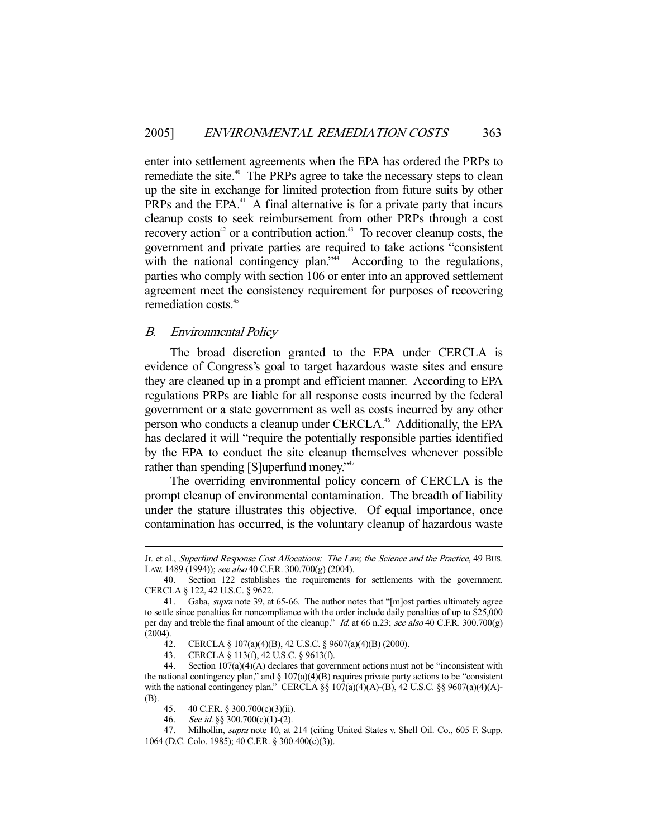enter into settlement agreements when the EPA has ordered the PRPs to remediate the site.<sup>40</sup> The PRPs agree to take the necessary steps to clean up the site in exchange for limited protection from future suits by other PRPs and the EPA $^{41}$  A final alternative is for a private party that incurs cleanup costs to seek reimbursement from other PRPs through a cost recovery action<sup>42</sup> or a contribution action.<sup>43</sup> To recover cleanup costs, the government and private parties are required to take actions "consistent with the national contingency plan." $4\overline{4}$  According to the regulations, parties who comply with section 106 or enter into an approved settlement agreement meet the consistency requirement for purposes of recovering remediation costs.45

## B. Environmental Policy

-

 The broad discretion granted to the EPA under CERCLA is evidence of Congress's goal to target hazardous waste sites and ensure they are cleaned up in a prompt and efficient manner. According to EPA regulations PRPs are liable for all response costs incurred by the federal government or a state government as well as costs incurred by any other person who conducts a cleanup under CERCLA.<sup>46</sup> Additionally, the EPA has declared it will "require the potentially responsible parties identified by the EPA to conduct the site cleanup themselves whenever possible rather than spending [S]uperfund money."<sup>47</sup>

 The overriding environmental policy concern of CERCLA is the prompt cleanup of environmental contamination. The breadth of liability under the stature illustrates this objective. Of equal importance, once contamination has occurred, is the voluntary cleanup of hazardous waste

Jr. et al., Superfund Response Cost Allocations: The Law, the Science and the Practice, 49 BUS. LAW. 1489 (1994)); see also 40 C.F.R. 300.700(g) (2004).

 <sup>40.</sup> Section 122 establishes the requirements for settlements with the government. CERCLA § 122, 42 U.S.C. § 9622.

 <sup>41.</sup> Gaba, supra note 39, at 65-66. The author notes that "[m]ost parties ultimately agree to settle since penalties for noncompliance with the order include daily penalties of up to \$25,000 per day and treble the final amount of the cleanup." Id. at 66 n.23; see also 40 C.F.R. 300.700(g) (2004).

 <sup>42.</sup> CERCLA § 107(a)(4)(B), 42 U.S.C. § 9607(a)(4)(B) (2000).

 <sup>43.</sup> CERCLA § 113(f), 42 U.S.C. § 9613(f).

 <sup>44.</sup> Section 107(a)(4)(A) declares that government actions must not be "inconsistent with the national contingency plan," and  $\S 107(a)(4)(B)$  requires private party actions to be "consistent with the national contingency plan." CERCLA §§  $107(a)(4)(A)$ -(B), 42 U.S.C. §§ 9607(a)(4)(A)-(B).

 <sup>45. 40</sup> C.F.R. § 300.700(c)(3)(ii).

 <sup>46.</sup> See id. §§ 300.700(c)(1)-(2).

<sup>47.</sup> Milhollin, *supra* note 10, at 214 (citing United States v. Shell Oil. Co., 605 F. Supp. 1064 (D.C. Colo. 1985); 40 C.F.R. § 300.400(c)(3)).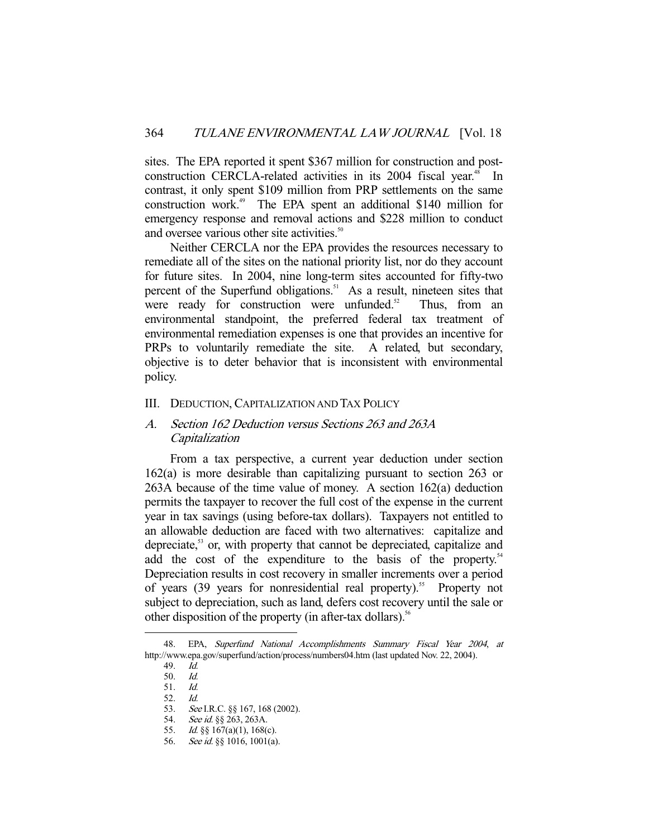sites. The EPA reported it spent \$367 million for construction and postconstruction CERCLA-related activities in its 2004 fiscal year.<sup>48</sup> In contrast, it only spent \$109 million from PRP settlements on the same construction work.49 The EPA spent an additional \$140 million for emergency response and removal actions and \$228 million to conduct and oversee various other site activities.<sup>50</sup>

 Neither CERCLA nor the EPA provides the resources necessary to remediate all of the sites on the national priority list, nor do they account for future sites. In 2004, nine long-term sites accounted for fifty-two percent of the Superfund obligations.<sup>51</sup> As a result, nineteen sites that were ready for construction were unfunded. $52$  Thus, from an environmental standpoint, the preferred federal tax treatment of environmental remediation expenses is one that provides an incentive for PRPs to voluntarily remediate the site. A related, but secondary, objective is to deter behavior that is inconsistent with environmental policy.

#### III. DEDUCTION, CAPITALIZATION AND TAX POLICY

## A. Section 162 Deduction versus Sections 263 and 263A Capitalization

 From a tax perspective, a current year deduction under section 162(a) is more desirable than capitalizing pursuant to section 263 or 263A because of the time value of money. A section 162(a) deduction permits the taxpayer to recover the full cost of the expense in the current year in tax savings (using before-tax dollars). Taxpayers not entitled to an allowable deduction are faced with two alternatives: capitalize and depreciate,<sup>53</sup> or, with property that cannot be depreciated, capitalize and add the cost of the expenditure to the basis of the property.<sup>54</sup> Depreciation results in cost recovery in smaller increments over a period of years (39 years for nonresidential real property).<sup>55</sup> Property not subject to depreciation, such as land, defers cost recovery until the sale or other disposition of the property (in after-tax dollars).<sup>56</sup>

 <sup>48.</sup> EPA, Superfund National Accomplishments Summary Fiscal Year 2004, at http://www.epa.gov/superfund/action/process/numbers04.htm (last updated Nov. 22, 2004).

 <sup>49.</sup> Id.

 <sup>50.</sup> Id.

 <sup>51.</sup> Id.

<sup>52.</sup> *Id.*<br>53. *Se* See I.R.C. §§ 167, 168 (2002).

<sup>54.</sup> See id. §§ 263, 263A.

 <sup>55.</sup> Id. §§ 167(a)(1), 168(c).

<sup>56.</sup> See id. §§ 1016, 1001(a).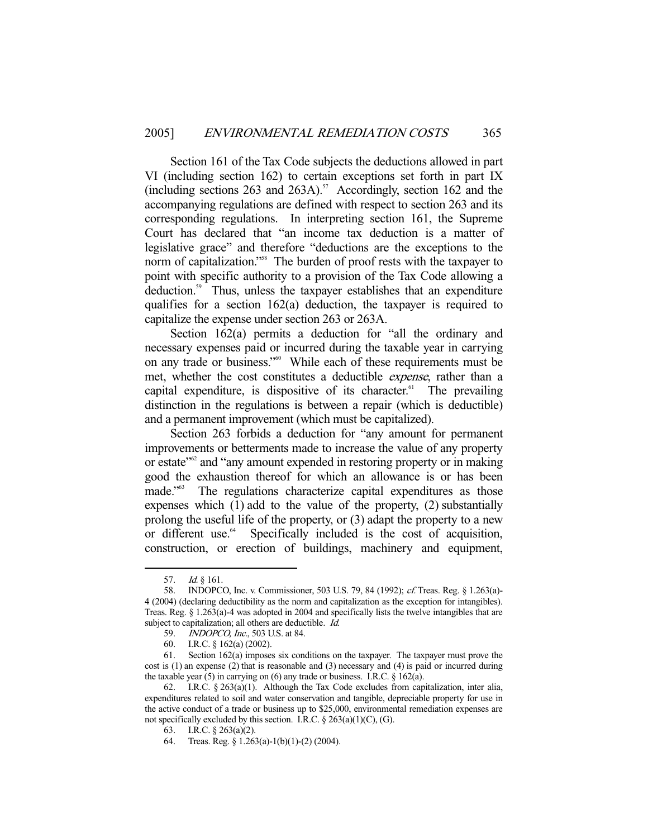Section 161 of the Tax Code subjects the deductions allowed in part VI (including section 162) to certain exceptions set forth in part IX (including sections 263 and 263A).<sup>57</sup> Accordingly, section 162 and the accompanying regulations are defined with respect to section 263 and its corresponding regulations. In interpreting section 161, the Supreme Court has declared that "an income tax deduction is a matter of legislative grace" and therefore "deductions are the exceptions to the norm of capitalization."<sup>58</sup> The burden of proof rests with the taxpayer to point with specific authority to a provision of the Tax Code allowing a deduction.59 Thus, unless the taxpayer establishes that an expenditure qualifies for a section 162(a) deduction, the taxpayer is required to capitalize the expense under section 263 or 263A.

Section 162(a) permits a deduction for "all the ordinary and necessary expenses paid or incurred during the taxable year in carrying on any trade or business."<sup>60</sup> While each of these requirements must be met, whether the cost constitutes a deductible expense, rather than a capital expenditure, is dispositive of its character.<sup>61</sup> The prevailing distinction in the regulations is between a repair (which is deductible) and a permanent improvement (which must be capitalized).

 Section 263 forbids a deduction for "any amount for permanent improvements or betterments made to increase the value of any property or estate"62 and "any amount expended in restoring property or in making good the exhaustion thereof for which an allowance is or has been made.<sup>"63</sup> The regulations characterize capital expenditures as those expenses which (1) add to the value of the property, (2) substantially prolong the useful life of the property, or (3) adapt the property to a new or different use.<sup>64</sup> Specifically included is the cost of acquisition, construction, or erection of buildings, machinery and equipment,

<sup>57.</sup> *Id.* § 161.

 <sup>58.</sup> INDOPCO, Inc. v. Commissioner, 503 U.S. 79, 84 (1992); cf. Treas. Reg. § 1.263(a)- 4 (2004) (declaring deductibility as the norm and capitalization as the exception for intangibles). Treas. Reg. § 1.263(a)-4 was adopted in 2004 and specifically lists the twelve intangibles that are subject to capitalization; all others are deductible. *Id.* 

 <sup>59.</sup> INDOPCO, Inc., 503 U.S. at 84.

 <sup>60.</sup> I.R.C. § 162(a) (2002).

 <sup>61.</sup> Section 162(a) imposes six conditions on the taxpayer. The taxpayer must prove the cost is (1) an expense (2) that is reasonable and (3) necessary and (4) is paid or incurred during the taxable year (5) in carrying on (6) any trade or business. I.R.C. § 162(a).

<sup>62.</sup> I.R.C.  $\S 263(a)(1)$ . Although the Tax Code excludes from capitalization, inter alia, expenditures related to soil and water conservation and tangible, depreciable property for use in the active conduct of a trade or business up to \$25,000, environmental remediation expenses are not specifically excluded by this section. I.R.C. § 263(a)(1)(C), (G).

 <sup>63.</sup> I.R.C. § 263(a)(2).

 <sup>64.</sup> Treas. Reg. § 1.263(a)-1(b)(1)-(2) (2004).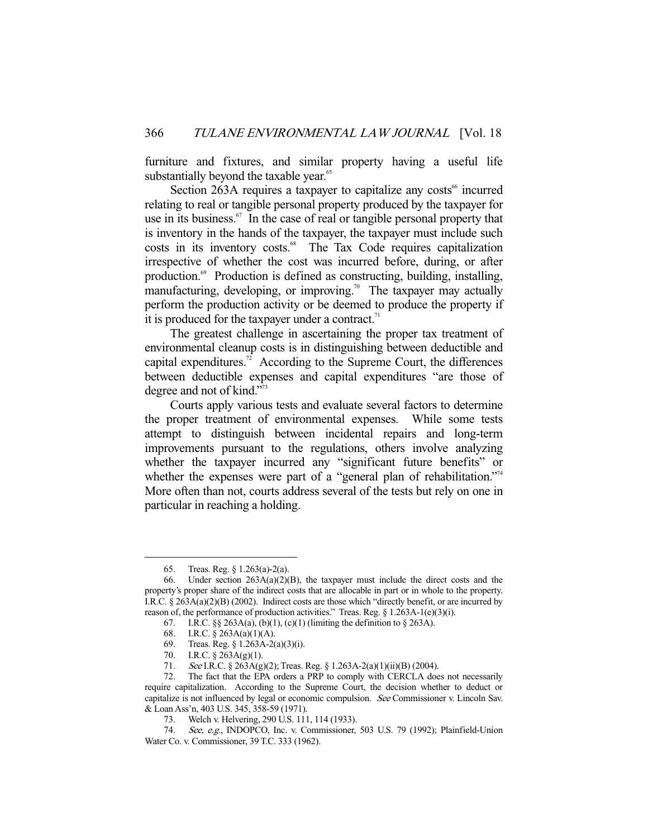furniture and fixtures, and similar property having a useful life substantially beyond the taxable year.<sup>65</sup>

Section 263A requires a taxpayer to capitalize any costs<sup>66</sup> incurred relating to real or tangible personal property produced by the taxpayer for use in its business.<sup>67</sup> In the case of real or tangible personal property that is inventory in the hands of the taxpayer, the taxpayer must include such costs in its inventory costs.<sup>68</sup> The Tax Code requires capitalization irrespective of whether the cost was incurred before, during, or after production.69 Production is defined as constructing, building, installing, manufacturing, developing, or improving.<sup>70</sup> The taxpayer may actually perform the production activity or be deemed to produce the property if it is produced for the taxpayer under a contract.<sup>71</sup>

 The greatest challenge in ascertaining the proper tax treatment of environmental cleanup costs is in distinguishing between deductible and capital expenditures.<sup>72</sup> According to the Supreme Court, the differences between deductible expenses and capital expenditures "are those of degree and not of kind."73

 Courts apply various tests and evaluate several factors to determine the proper treatment of environmental expenses. While some tests attempt to distinguish between incidental repairs and long-term improvements pursuant to the regulations, others involve analyzing whether the taxpayer incurred any "significant future benefits" or whether the expenses were part of a "general plan of rehabilitation."<sup>74</sup> More often than not, courts address several of the tests but rely on one in particular in reaching a holding.

 <sup>65.</sup> Treas. Reg. § 1.263(a)-2(a).

<sup>66.</sup> Under section  $263A(a)(2)(B)$ , the taxpayer must include the direct costs and the property's proper share of the indirect costs that are allocable in part or in whole to the property. I.R.C. § 263A(a)(2)(B) (2002). Indirect costs are those which "directly benefit, or are incurred by reason of, the performance of production activities." Treas. Reg. § 1.263A-1(e)(3)(i).

<sup>67.</sup> I.R.C.  $\S$  263A(a), (b)(1), (c)(1) (limiting the definition to  $\S$  263A).

 <sup>68.</sup> I.R.C. § 263A(a)(1)(A).

 <sup>69.</sup> Treas. Reg. § 1.263A-2(a)(3)(i).

 <sup>70.</sup> I.R.C. § 263A(g)(1).

 <sup>71.</sup> See I.R.C. § 263A(g)(2); Treas. Reg. § 1.263A-2(a)(1)(ii)(B) (2004).

 <sup>72.</sup> The fact that the EPA orders a PRP to comply with CERCLA does not necessarily require capitalization. According to the Supreme Court, the decision whether to deduct or capitalize is not influenced by legal or economic compulsion. See Commissioner v. Lincoln Sav. & Loan Ass'n, 403 U.S. 345, 358-59 (1971).

 <sup>73.</sup> Welch v. Helvering, 290 U.S. 111, 114 (1933).

 <sup>74.</sup> See, e.g., INDOPCO, Inc. v. Commissioner, 503 U.S. 79 (1992); Plainfield-Union Water Co. v. Commissioner, 39 T.C. 333 (1962).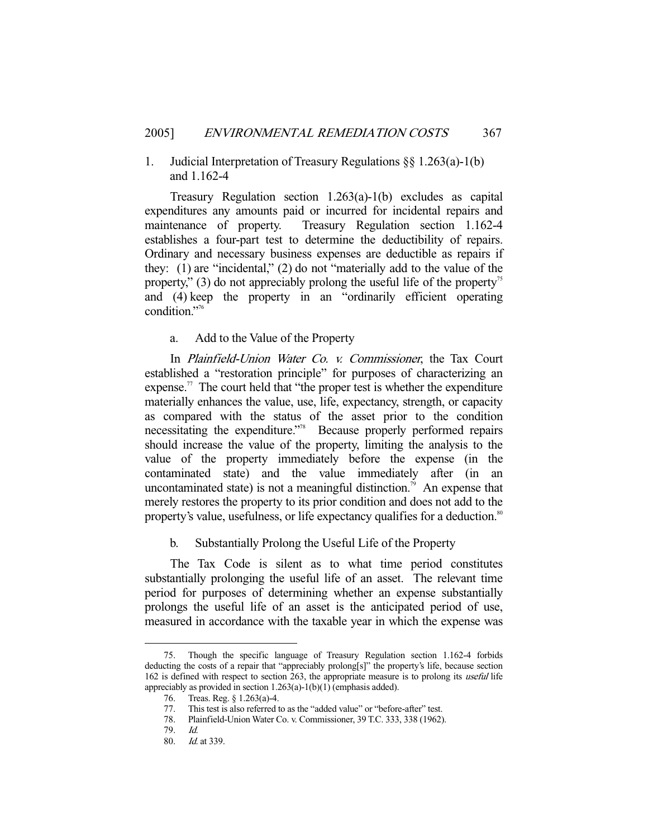## 1. Judicial Interpretation of Treasury Regulations §§ 1.263(a)-1(b) and 1.162-4

 Treasury Regulation section 1.263(a)-1(b) excludes as capital expenditures any amounts paid or incurred for incidental repairs and maintenance of property. Treasury Regulation section 1.162-4 establishes a four-part test to determine the deductibility of repairs. Ordinary and necessary business expenses are deductible as repairs if they: (1) are "incidental," (2) do not "materially add to the value of the property," (3) do not appreciably prolong the useful life of the property<sup>35</sup> and (4) keep the property in an "ordinarily efficient operating condition."76

a. Add to the Value of the Property

 In Plainfield-Union Water Co. v. Commissioner, the Tax Court established a "restoration principle" for purposes of characterizing an expense.<sup>77</sup> The court held that "the proper test is whether the expenditure" materially enhances the value, use, life, expectancy, strength, or capacity as compared with the status of the asset prior to the condition necessitating the expenditure."78 Because properly performed repairs should increase the value of the property, limiting the analysis to the value of the property immediately before the expense (in the contaminated state) and the value immediately after (in an uncontaminated state) is not a meaningful distinction.<sup>79</sup> An expense that merely restores the property to its prior condition and does not add to the property's value, usefulness, or life expectancy qualifies for a deduction.<sup>80</sup>

b. Substantially Prolong the Useful Life of the Property

 The Tax Code is silent as to what time period constitutes substantially prolonging the useful life of an asset. The relevant time period for purposes of determining whether an expense substantially prolongs the useful life of an asset is the anticipated period of use, measured in accordance with the taxable year in which the expense was

<sup>-</sup> 75. Though the specific language of Treasury Regulation section 1.162-4 forbids deducting the costs of a repair that "appreciably prolong[s]" the property's life, because section 162 is defined with respect to section 263, the appropriate measure is to prolong its useful life appreciably as provided in section 1.263(a)-1(b)(1) (emphasis added).

 <sup>76.</sup> Treas. Reg. § 1.263(a)-4.

 <sup>77.</sup> This test is also referred to as the "added value" or "before-after" test.

 <sup>78.</sup> Plainfield-Union Water Co. v. Commissioner, 39 T.C. 333, 338 (1962).

 <sup>79.</sup> Id.

 <sup>80.</sup> Id. at 339.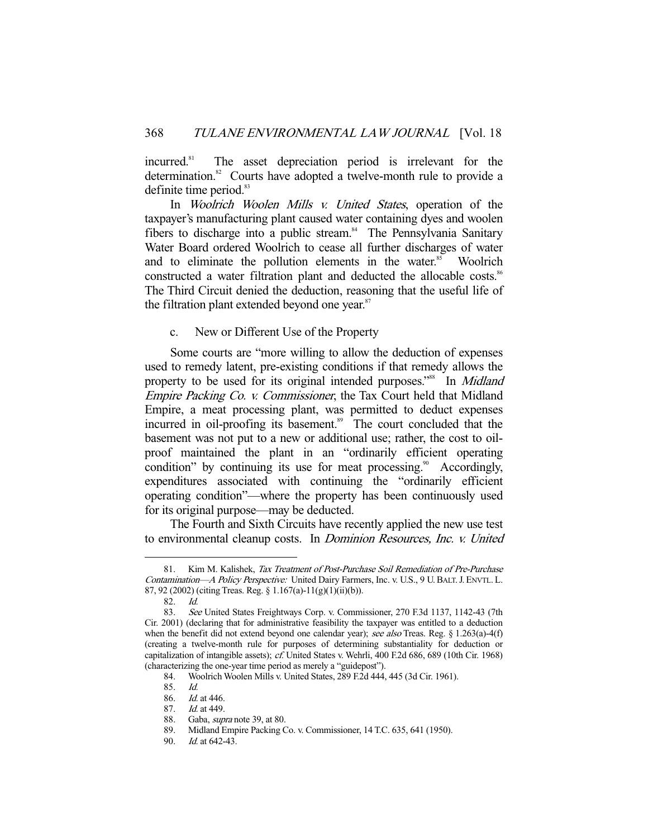incurred.<sup>81</sup> The asset depreciation period is irrelevant for the determination.<sup>82</sup> Courts have adopted a twelve-month rule to provide a definite time period.<sup>83</sup>

In *Woolrich Woolen Mills v. United States*, operation of the taxpayer's manufacturing plant caused water containing dyes and woolen fibers to discharge into a public stream.<sup>84</sup> The Pennsylvania Sanitary Water Board ordered Woolrich to cease all further discharges of water and to eliminate the pollution elements in the water.<sup>85</sup> Woolrich constructed a water filtration plant and deducted the allocable costs.<sup>86</sup> The Third Circuit denied the deduction, reasoning that the useful life of the filtration plant extended beyond one year. $87$ 

## c. New or Different Use of the Property

 Some courts are "more willing to allow the deduction of expenses used to remedy latent, pre-existing conditions if that remedy allows the property to be used for its original intended purposes."<sup>88</sup> In *Midland* Empire Packing Co. v. Commissioner, the Tax Court held that Midland Empire, a meat processing plant, was permitted to deduct expenses incurred in oil-proofing its basement.<sup>89</sup> The court concluded that the basement was not put to a new or additional use; rather, the cost to oilproof maintained the plant in an "ordinarily efficient operating condition" by continuing its use for meat processing.<sup>90</sup> Accordingly, expenditures associated with continuing the "ordinarily efficient operating condition"—where the property has been continuously used for its original purpose—may be deducted.

 The Fourth and Sixth Circuits have recently applied the new use test to environmental cleanup costs. In Dominion Resources, Inc. v. United

<sup>81.</sup> Kim M. Kalishek, Tax Treatment of Post-Purchase Soil Remediation of Pre-Purchase Contamination—A Policy Perspective: United Dairy Farmers, Inc. v. U.S., 9 U. BALT. J. ENVTL. L. 87, 92 (2002) (citing Treas. Reg. § 1.167(a)-11(g)(1)(ii)(b)).

 <sup>82.</sup> Id.

 <sup>83.</sup> See United States Freightways Corp. v. Commissioner, 270 F.3d 1137, 1142-43 (7th Cir. 2001) (declaring that for administrative feasibility the taxpayer was entitled to a deduction when the benefit did not extend beyond one calendar year); see also Treas. Reg. § 1.263(a)-4(f) (creating a twelve-month rule for purposes of determining substantiality for deduction or capitalization of intangible assets); cf. United States v. Wehrli, 400 F.2d 686, 689 (10th Cir. 1968) (characterizing the one-year time period as merely a "guidepost").

 <sup>84.</sup> Woolrich Woolen Mills v. United States, 289 F.2d 444, 445 (3d Cir. 1961).

 <sup>85.</sup> Id.

 <sup>86.</sup> Id. at 446.

 <sup>87.</sup> Id. at 449.

 <sup>88.</sup> Gaba, supra note 39, at 80.

 <sup>89.</sup> Midland Empire Packing Co. v. Commissioner, 14 T.C. 635, 641 (1950).

 <sup>90.</sup> Id. at 642-43.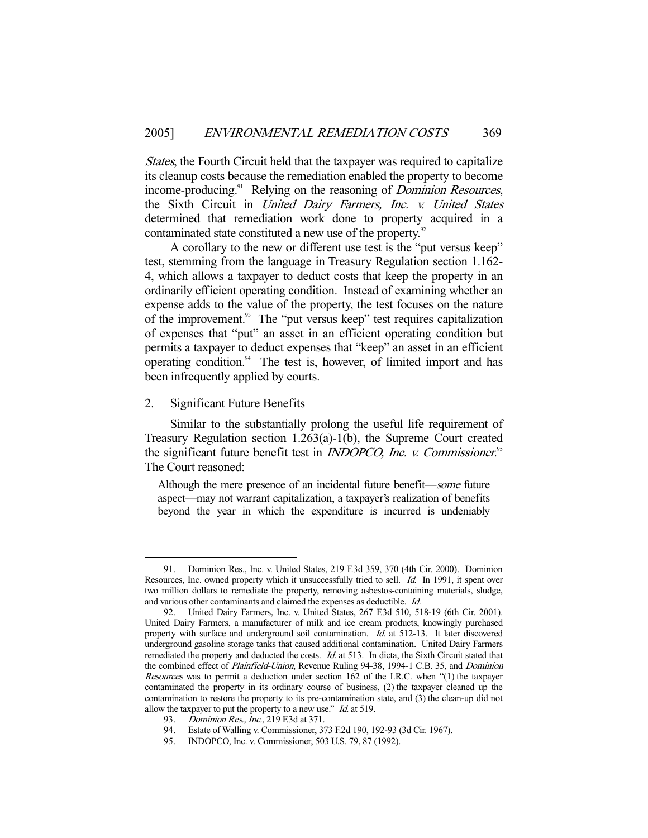States, the Fourth Circuit held that the taxpayer was required to capitalize its cleanup costs because the remediation enabled the property to become income-producing.<sup>91</sup> Relying on the reasoning of *Dominion Resources*, the Sixth Circuit in United Dairy Farmers, Inc. v. United States determined that remediation work done to property acquired in a contaminated state constituted a new use of the property.<sup>92</sup>

 A corollary to the new or different use test is the "put versus keep" test, stemming from the language in Treasury Regulation section 1.162- 4, which allows a taxpayer to deduct costs that keep the property in an ordinarily efficient operating condition. Instead of examining whether an expense adds to the value of the property, the test focuses on the nature of the improvement.<sup>93</sup> The "put versus keep" test requires capitalization of expenses that "put" an asset in an efficient operating condition but permits a taxpayer to deduct expenses that "keep" an asset in an efficient operating condition. $94$  The test is, however, of limited import and has been infrequently applied by courts.

2. Significant Future Benefits

-

 Similar to the substantially prolong the useful life requirement of Treasury Regulation section 1.263(a)-1(b), the Supreme Court created the significant future benefit test in *INDOPCO*, Inc. v. Commissioner.<sup>95</sup> The Court reasoned:

Although the mere presence of an incidental future benefit—some future aspect—may not warrant capitalization, a taxpayer's realization of benefits beyond the year in which the expenditure is incurred is undeniably

 <sup>91.</sup> Dominion Res., Inc. v. United States, 219 F.3d 359, 370 (4th Cir. 2000). Dominion Resources, Inc. owned property which it unsuccessfully tried to sell. Id. In 1991, it spent over two million dollars to remediate the property, removing asbestos-containing materials, sludge, and various other contaminants and claimed the expenses as deductible. Id.

 <sup>92.</sup> United Dairy Farmers, Inc. v. United States, 267 F.3d 510, 518-19 (6th Cir. 2001). United Dairy Farmers, a manufacturer of milk and ice cream products, knowingly purchased property with surface and underground soil contamination. Id. at 512-13. It later discovered underground gasoline storage tanks that caused additional contamination. United Dairy Farmers remediated the property and deducted the costs. *Id.* at 513. In dicta, the Sixth Circuit stated that the combined effect of *Plainfield-Union*, Revenue Ruling 94-38, 1994-1 C.B. 35, and *Dominion* Resources was to permit a deduction under section 162 of the I.R.C. when "(1) the taxpayer contaminated the property in its ordinary course of business, (2) the taxpayer cleaned up the contamination to restore the property to its pre-contamination state, and (3) the clean-up did not allow the taxpayer to put the property to a new use."  $Id$  at 519.

<sup>93.</sup> *Dominion Res., Inc.*, 219 F.3d at 371.

 <sup>94.</sup> Estate of Walling v. Commissioner, 373 F.2d 190, 192-93 (3d Cir. 1967).

 <sup>95.</sup> INDOPCO, Inc. v. Commissioner, 503 U.S. 79, 87 (1992).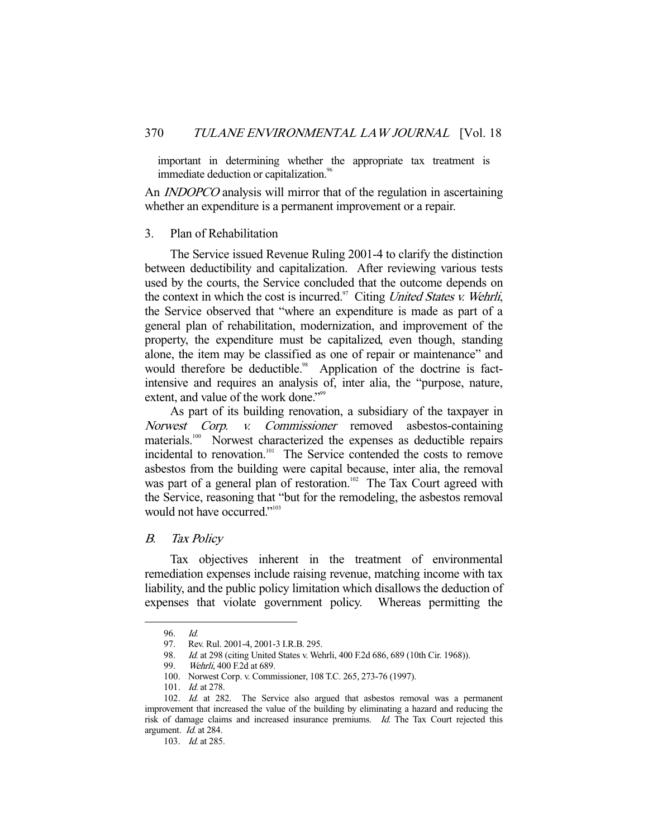important in determining whether the appropriate tax treatment is immediate deduction or capitalization.<sup>96</sup>

An *INDOPCO* analysis will mirror that of the regulation in ascertaining whether an expenditure is a permanent improvement or a repair.

#### 3. Plan of Rehabilitation

 The Service issued Revenue Ruling 2001-4 to clarify the distinction between deductibility and capitalization. After reviewing various tests used by the courts, the Service concluded that the outcome depends on the context in which the cost is incurred. $\degree$  Citing United States v. Wehrli, the Service observed that "where an expenditure is made as part of a general plan of rehabilitation, modernization, and improvement of the property, the expenditure must be capitalized, even though, standing alone, the item may be classified as one of repair or maintenance" and would therefore be deductible.<sup>98</sup> Application of the doctrine is factintensive and requires an analysis of, inter alia, the "purpose, nature, extent, and value of the work done."<sup>99</sup>

 As part of its building renovation, a subsidiary of the taxpayer in Norwest Corp. v. Commissioner removed asbestos-containing materials.<sup>100</sup> Norwest characterized the expenses as deductible repairs incidental to renovation.<sup>101</sup> The Service contended the costs to remove asbestos from the building were capital because, inter alia, the removal was part of a general plan of restoration.<sup>102</sup> The Tax Court agreed with the Service, reasoning that "but for the remodeling, the asbestos removal would not have occurred."<sup>103</sup>

#### B. Tax Policy

 Tax objectives inherent in the treatment of environmental remediation expenses include raising revenue, matching income with tax liability, and the public policy limitation which disallows the deduction of expenses that violate government policy. Whereas permitting the

 <sup>96.</sup> Id.

 <sup>97.</sup> Rev. Rul. 2001-4, 2001-3 I.R.B. 295.

<sup>98.</sup> *Id.* at 298 (citing United States v. Wehrli, 400 F.2d 686, 689 (10th Cir. 1968)).<br>99. *Wehrli*, 400 F.2d at 689.

Wehrli, 400 F.2d at 689.

 <sup>100.</sup> Norwest Corp. v. Commissioner, 108 T.C. 265, 273-76 (1997).

<sup>101.</sup> *Id.* at 278.

<sup>102.</sup> Id. at 282. The Service also argued that asbestos removal was a permanent improvement that increased the value of the building by eliminating a hazard and reducing the risk of damage claims and increased insurance premiums. Id. The Tax Court rejected this argument. Id. at 284.

 <sup>103.</sup> Id. at 285.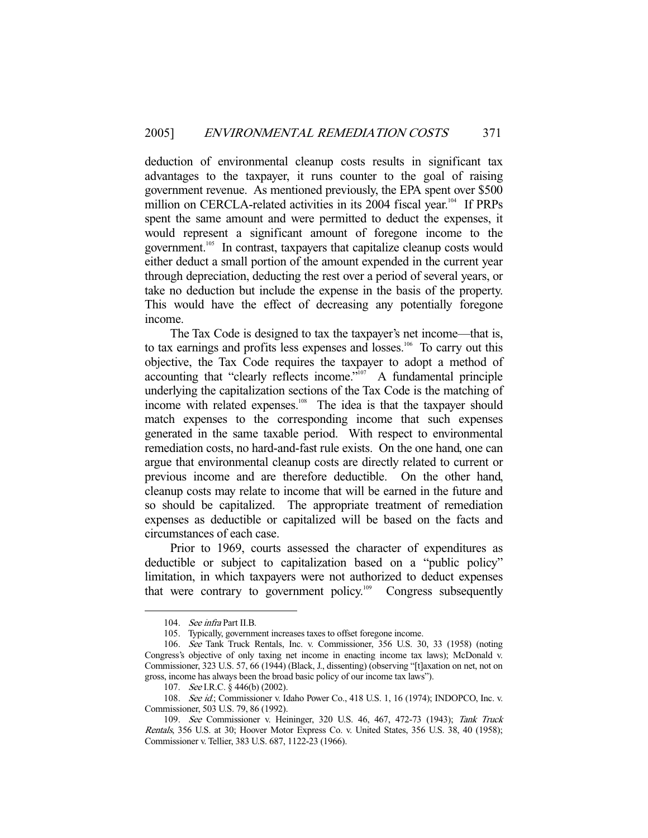deduction of environmental cleanup costs results in significant tax advantages to the taxpayer, it runs counter to the goal of raising government revenue. As mentioned previously, the EPA spent over \$500 million on CERCLA-related activities in its 2004 fiscal year.<sup>104</sup> If PRPs spent the same amount and were permitted to deduct the expenses, it would represent a significant amount of foregone income to the government.<sup>105</sup> In contrast, taxpayers that capitalize cleanup costs would either deduct a small portion of the amount expended in the current year through depreciation, deducting the rest over a period of several years, or take no deduction but include the expense in the basis of the property. This would have the effect of decreasing any potentially foregone income.

 The Tax Code is designed to tax the taxpayer's net income—that is, to tax earnings and profits less expenses and losses.<sup>106</sup> To carry out this objective, the Tax Code requires the taxpayer to adopt a method of accounting that "clearly reflects income." $\frac{1007}{9}$  A fundamental principle underlying the capitalization sections of the Tax Code is the matching of income with related expenses.<sup>108</sup> The idea is that the taxpayer should match expenses to the corresponding income that such expenses generated in the same taxable period. With respect to environmental remediation costs, no hard-and-fast rule exists. On the one hand, one can argue that environmental cleanup costs are directly related to current or previous income and are therefore deductible. On the other hand, cleanup costs may relate to income that will be earned in the future and so should be capitalized. The appropriate treatment of remediation expenses as deductible or capitalized will be based on the facts and circumstances of each case.

 Prior to 1969, courts assessed the character of expenditures as deductible or subject to capitalization based on a "public policy" limitation, in which taxpayers were not authorized to deduct expenses that were contrary to government policy.<sup>109</sup> Congress subsequently

 <sup>104.</sup> See infra Part II.B.

 <sup>105.</sup> Typically, government increases taxes to offset foregone income.

 <sup>106.</sup> See Tank Truck Rentals, Inc. v. Commissioner, 356 U.S. 30, 33 (1958) (noting Congress's objective of only taxing net income in enacting income tax laws); McDonald v. Commissioner, 323 U.S. 57, 66 (1944) (Black, J., dissenting) (observing "[t]axation on net, not on gross, income has always been the broad basic policy of our income tax laws").

<sup>107.</sup> *See* I.R.C. § 446(b) (2002).

<sup>108.</sup> See id.; Commissioner v. Idaho Power Co., 418 U.S. 1, 16 (1974); INDOPCO, Inc. v. Commissioner, 503 U.S. 79, 86 (1992).

 <sup>109.</sup> See Commissioner v. Heininger, 320 U.S. 46, 467, 472-73 (1943); Tank Truck Rentals, 356 U.S. at 30; Hoover Motor Express Co. v. United States, 356 U.S. 38, 40 (1958); Commissioner v. Tellier, 383 U.S. 687, 1122-23 (1966).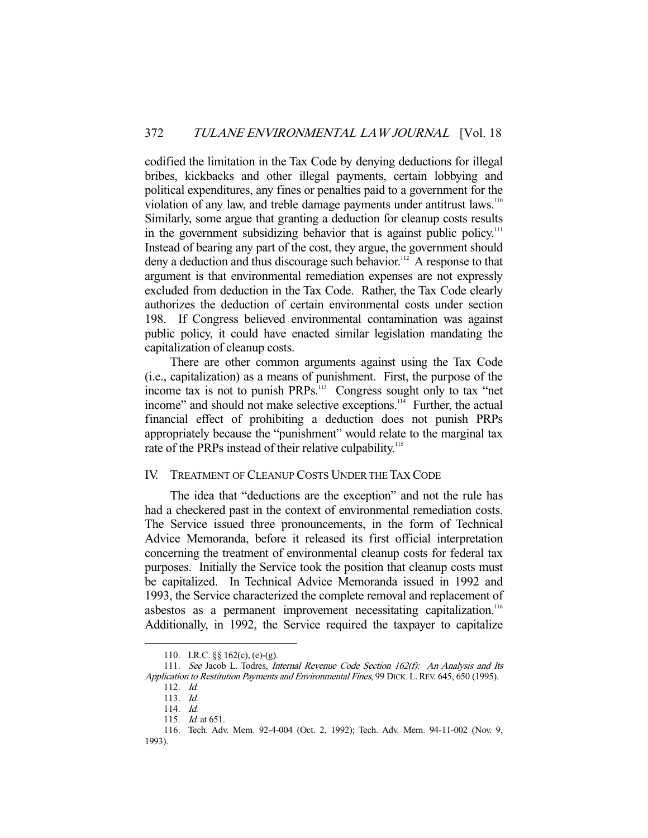codified the limitation in the Tax Code by denying deductions for illegal bribes, kickbacks and other illegal payments, certain lobbying and political expenditures, any fines or penalties paid to a government for the violation of any law, and treble damage payments under antitrust laws.<sup>110</sup> Similarly, some argue that granting a deduction for cleanup costs results in the government subsidizing behavior that is against public policy.<sup>111</sup> Instead of bearing any part of the cost, they argue, the government should deny a deduction and thus discourage such behavior.<sup>112</sup> A response to that argument is that environmental remediation expenses are not expressly excluded from deduction in the Tax Code. Rather, the Tax Code clearly authorizes the deduction of certain environmental costs under section 198. If Congress believed environmental contamination was against public policy, it could have enacted similar legislation mandating the capitalization of cleanup costs.

 There are other common arguments against using the Tax Code (i.e., capitalization) as a means of punishment. First, the purpose of the income tax is not to punish PRPs.<sup>113</sup> Congress sought only to tax "net income" and should not make selective exceptions.<sup>114</sup> Further, the actual financial effect of prohibiting a deduction does not punish PRPs appropriately because the "punishment" would relate to the marginal tax rate of the PRPs instead of their relative culpability.<sup>115</sup>

#### IV. TREATMENT OF CLEANUP COSTS UNDER THE TAX CODE

 The idea that "deductions are the exception" and not the rule has had a checkered past in the context of environmental remediation costs. The Service issued three pronouncements, in the form of Technical Advice Memoranda, before it released its first official interpretation concerning the treatment of environmental cleanup costs for federal tax purposes. Initially the Service took the position that cleanup costs must be capitalized. In Technical Advice Memoranda issued in 1992 and 1993, the Service characterized the complete removal and replacement of asbestos as a permanent improvement necessitating capitalization.<sup>116</sup> Additionally, in 1992, the Service required the taxpayer to capitalize

 <sup>110.</sup> I.R.C. §§ 162(c), (e)-(g).

 <sup>111.</sup> See Jacob L. Todres, Internal Revenue Code Section 162(f): An Analysis and Its Application to Restitution Payments and Environmental Fines, 99 DICK. L. REV. 645, 650 (1995).

 <sup>112.</sup> Id.

 <sup>113.</sup> Id.

 <sup>114.</sup> Id.

 <sup>115.</sup> Id. at 651.

 <sup>116.</sup> Tech. Adv. Mem. 92-4-004 (Oct. 2, 1992); Tech. Adv. Mem. 94-11-002 (Nov. 9, 1993).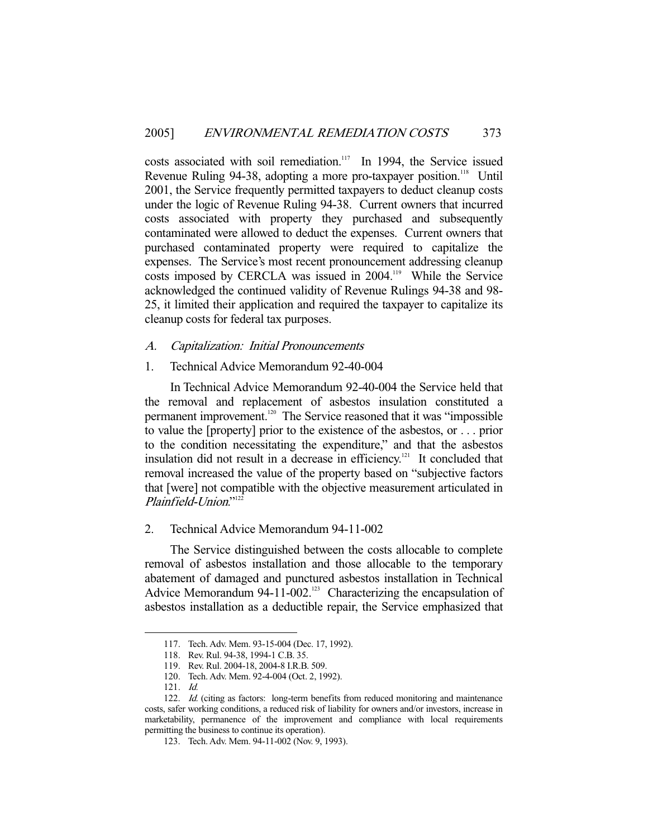costs associated with soil remediation.<sup>117</sup> In 1994, the Service issued Revenue Ruling 94-38, adopting a more pro-taxpayer position.<sup>118</sup> Until 2001, the Service frequently permitted taxpayers to deduct cleanup costs under the logic of Revenue Ruling 94-38. Current owners that incurred costs associated with property they purchased and subsequently contaminated were allowed to deduct the expenses. Current owners that purchased contaminated property were required to capitalize the expenses. The Service's most recent pronouncement addressing cleanup costs imposed by CERCLA was issued in 2004.<sup>119</sup> While the Service acknowledged the continued validity of Revenue Rulings 94-38 and 98- 25, it limited their application and required the taxpayer to capitalize its cleanup costs for federal tax purposes.

#### A. Capitalization: Initial Pronouncements

#### 1. Technical Advice Memorandum 92-40-004

 In Technical Advice Memorandum 92-40-004 the Service held that the removal and replacement of asbestos insulation constituted a permanent improvement.<sup>120</sup> The Service reasoned that it was "impossible to value the [property] prior to the existence of the asbestos, or . . . prior to the condition necessitating the expenditure," and that the asbestos insulation did not result in a decrease in efficiency.<sup>121</sup> It concluded that removal increased the value of the property based on "subjective factors that [were] not compatible with the objective measurement articulated in Plainfield-Union."<sup>122</sup>

## 2. Technical Advice Memorandum 94-11-002

 The Service distinguished between the costs allocable to complete removal of asbestos installation and those allocable to the temporary abatement of damaged and punctured asbestos installation in Technical Advice Memorandum 94-11-002.<sup>123</sup> Characterizing the encapsulation of asbestos installation as a deductible repair, the Service emphasized that

 <sup>117.</sup> Tech. Adv. Mem. 93-15-004 (Dec. 17, 1992).

 <sup>118.</sup> Rev. Rul. 94-38, 1994-1 C.B. 35.

 <sup>119.</sup> Rev. Rul. 2004-18, 2004-8 I.R.B. 509.

 <sup>120.</sup> Tech. Adv. Mem. 92-4-004 (Oct. 2, 1992).

 <sup>121.</sup> Id.

<sup>122.</sup> Id. (citing as factors: long-term benefits from reduced monitoring and maintenance costs, safer working conditions, a reduced risk of liability for owners and/or investors, increase in marketability, permanence of the improvement and compliance with local requirements permitting the business to continue its operation).

 <sup>123.</sup> Tech. Adv. Mem. 94-11-002 (Nov. 9, 1993).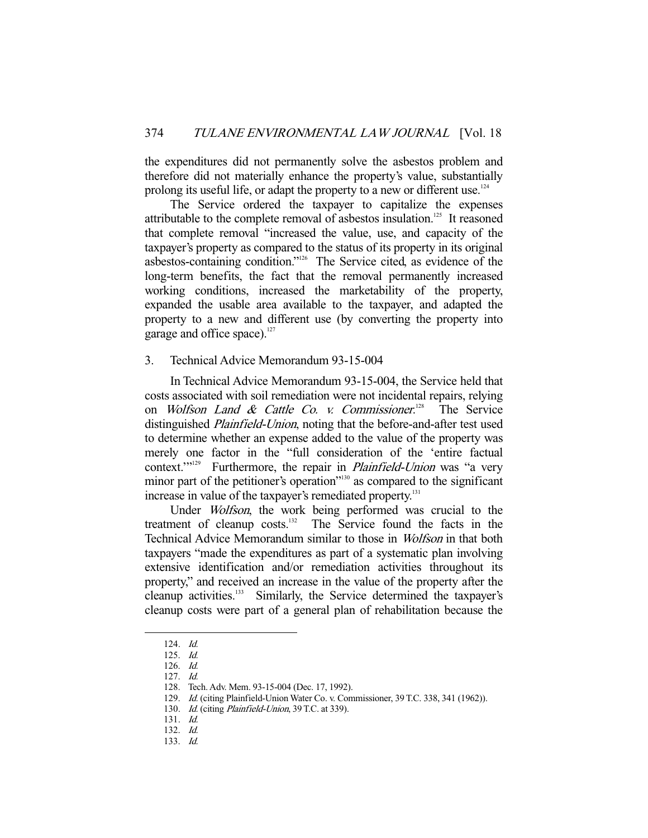the expenditures did not permanently solve the asbestos problem and therefore did not materially enhance the property's value, substantially prolong its useful life, or adapt the property to a new or different use.<sup>124</sup>

 The Service ordered the taxpayer to capitalize the expenses attributable to the complete removal of asbestos insulation.<sup>125</sup> It reasoned that complete removal "increased the value, use, and capacity of the taxpayer's property as compared to the status of its property in its original asbestos-containing condition."126 The Service cited, as evidence of the long-term benefits, the fact that the removal permanently increased working conditions, increased the marketability of the property, expanded the usable area available to the taxpayer, and adapted the property to a new and different use (by converting the property into garage and office space). $127$ 

#### 3. Technical Advice Memorandum 93-15-004

 In Technical Advice Memorandum 93-15-004, the Service held that costs associated with soil remediation were not incidental repairs, relying on *Wolfson Land & Cattle Co. v. Commissioner.*<sup>128</sup> The Service distinguished *Plainfield-Union*, noting that the before-and-after test used to determine whether an expense added to the value of the property was merely one factor in the "full consideration of the 'entire factual context."<sup>129</sup> Furthermore, the repair in *Plainfield-Union* was "a verv Furthermore, the repair in *Plainfield-Union* was "a very minor part of the petitioner's operation"<sup>130</sup> as compared to the significant increase in value of the taxpayer's remediated property.<sup>131</sup>

 Under Wolfson, the work being performed was crucial to the treatment of cleanup costs.<sup>132</sup> The Service found the facts in the Technical Advice Memorandum similar to those in Wolfson in that both taxpayers "made the expenditures as part of a systematic plan involving extensive identification and/or remediation activities throughout its property," and received an increase in the value of the property after the cleanup activities.133 Similarly, the Service determined the taxpayer's cleanup costs were part of a general plan of rehabilitation because the

 <sup>124.</sup> Id.

 <sup>125.</sup> Id.

 <sup>126.</sup> Id.

 <sup>127.</sup> Id.

 <sup>128.</sup> Tech. Adv. Mem. 93-15-004 (Dec. 17, 1992).

 <sup>129.</sup> Id. (citing Plainfield-Union Water Co. v. Commissioner, 39 T.C. 338, 341 (1962)).

<sup>130.</sup> Id. (citing Plainfield-Union, 39 T.C. at 339).

 <sup>131.</sup> Id.

 <sup>132.</sup> Id.

 <sup>133.</sup> Id.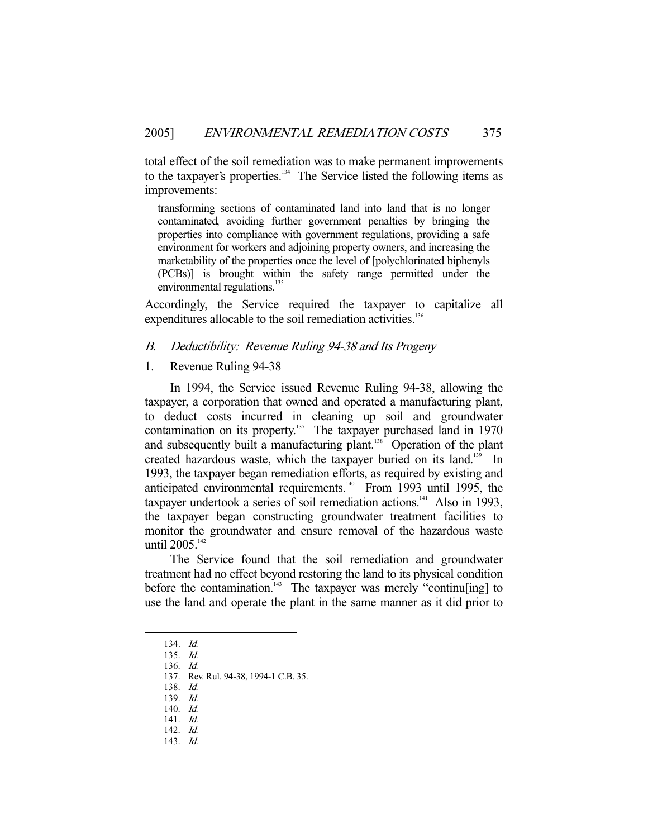total effect of the soil remediation was to make permanent improvements to the taxpayer's properties.<sup>134</sup> The Service listed the following items as improvements:

transforming sections of contaminated land into land that is no longer contaminated, avoiding further government penalties by bringing the properties into compliance with government regulations, providing a safe environment for workers and adjoining property owners, and increasing the marketability of the properties once the level of [polychlorinated biphenyls (PCBs)] is brought within the safety range permitted under the environmental regulations.<sup>135</sup>

Accordingly, the Service required the taxpayer to capitalize all expenditures allocable to the soil remediation activities.<sup>136</sup>

#### B. Deductibility: Revenue Ruling 94-38 and Its Progeny

1. Revenue Ruling 94-38

 In 1994, the Service issued Revenue Ruling 94-38, allowing the taxpayer, a corporation that owned and operated a manufacturing plant, to deduct costs incurred in cleaning up soil and groundwater contamination on its property.<sup>137</sup> The taxpayer purchased land in 1970 and subsequently built a manufacturing plant.<sup>138</sup> Operation of the plant created hazardous waste, which the taxpayer buried on its land.<sup>139</sup> In 1993, the taxpayer began remediation efforts, as required by existing and anticipated environmental requirements.<sup>140</sup> From 1993 until 1995, the taxpayer undertook a series of soil remediation actions.<sup>141</sup> Also in 1993, the taxpayer began constructing groundwater treatment facilities to monitor the groundwater and ensure removal of the hazardous waste until 2005.<sup>142</sup>

 The Service found that the soil remediation and groundwater treatment had no effect beyond restoring the land to its physical condition before the contamination.<sup>143</sup> The taxpayer was merely "continu[ing] to use the land and operate the plant in the same manner as it did prior to

 <sup>134.</sup> Id.

 <sup>135.</sup> Id.

 <sup>136.</sup> Id.

 <sup>137.</sup> Rev. Rul. 94-38, 1994-1 C.B. 35.

 <sup>138.</sup> Id. 139. Id.

 <sup>140.</sup> Id.

 <sup>141.</sup> Id.

 <sup>142.</sup> Id.

 <sup>143.</sup> Id.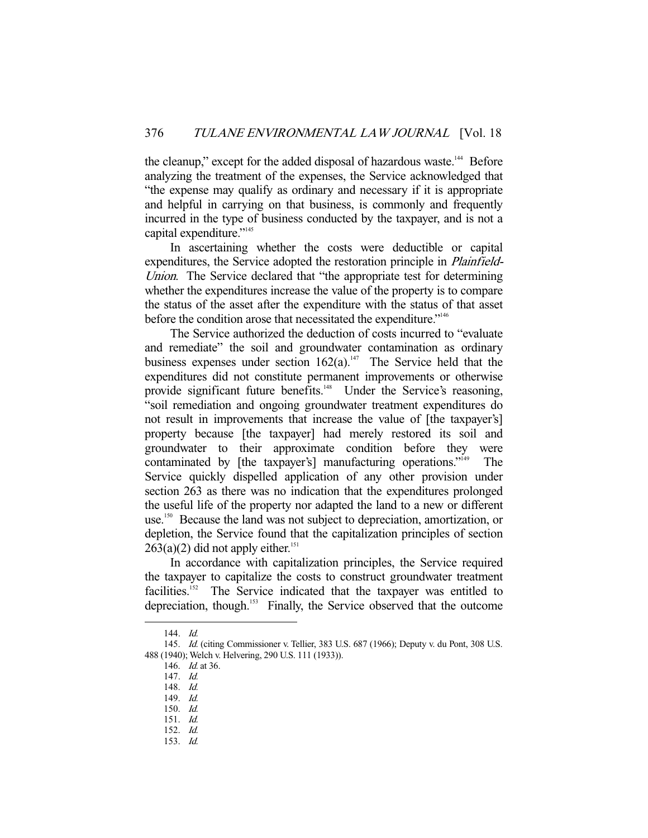the cleanup," except for the added disposal of hazardous waste.<sup>144</sup> Before analyzing the treatment of the expenses, the Service acknowledged that "the expense may qualify as ordinary and necessary if it is appropriate and helpful in carrying on that business, is commonly and frequently incurred in the type of business conducted by the taxpayer, and is not a capital expenditure."<sup>145</sup>

 In ascertaining whether the costs were deductible or capital expenditures, the Service adopted the restoration principle in *Plainfield*-Union. The Service declared that "the appropriate test for determining whether the expenditures increase the value of the property is to compare the status of the asset after the expenditure with the status of that asset before the condition arose that necessitated the expenditure."146

 The Service authorized the deduction of costs incurred to "evaluate and remediate" the soil and groundwater contamination as ordinary business expenses under section  $162(a)$ .<sup>147</sup> The Service held that the expenditures did not constitute permanent improvements or otherwise provide significant future benefits.<sup>148</sup> Under the Service's reasoning, "soil remediation and ongoing groundwater treatment expenditures do not result in improvements that increase the value of [the taxpayer's] property because [the taxpayer] had merely restored its soil and groundwater to their approximate condition before they were contaminated by [the taxpayer's] manufacturing operations."<sup>149</sup> The Service quickly dispelled application of any other provision under section 263 as there was no indication that the expenditures prolonged the useful life of the property nor adapted the land to a new or different use.<sup>150</sup> Because the land was not subject to depreciation, amortization, or depletion, the Service found that the capitalization principles of section  $263(a)(2)$  did not apply either.<sup>151</sup>

 In accordance with capitalization principles, the Service required the taxpayer to capitalize the costs to construct groundwater treatment facilities.152 The Service indicated that the taxpayer was entitled to depreciation, though.153 Finally, the Service observed that the outcome

 <sup>144.</sup> Id.

 <sup>145.</sup> Id. (citing Commissioner v. Tellier, 383 U.S. 687 (1966); Deputy v. du Pont, 308 U.S. 488 (1940); Welch v. Helvering, 290 U.S. 111 (1933)).

<sup>146.</sup> *Id.* at 36.

 <sup>147.</sup> Id.

 <sup>148.</sup> Id.

 <sup>149.</sup> Id.

 <sup>150.</sup> Id.

 <sup>151.</sup> Id.

 <sup>152.</sup> Id. 153. Id.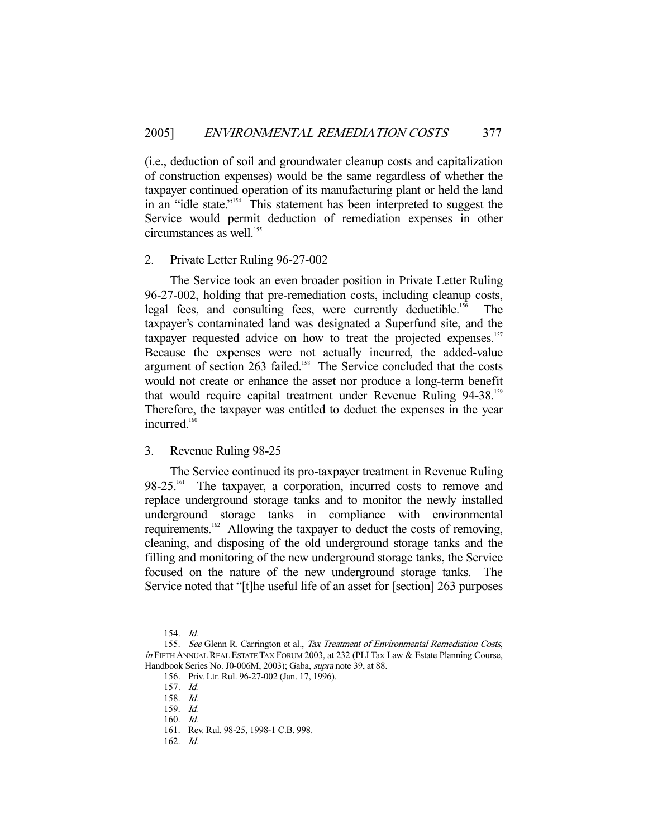(i.e., deduction of soil and groundwater cleanup costs and capitalization of construction expenses) would be the same regardless of whether the taxpayer continued operation of its manufacturing plant or held the land in an "idle state."154 This statement has been interpreted to suggest the Service would permit deduction of remediation expenses in other circumstances as well.<sup>155</sup>

#### 2. Private Letter Ruling 96-27-002

 The Service took an even broader position in Private Letter Ruling 96-27-002, holding that pre-remediation costs, including cleanup costs, legal fees, and consulting fees, were currently deductible.<sup>156</sup> The taxpayer's contaminated land was designated a Superfund site, and the taxpayer requested advice on how to treat the projected expenses.<sup>157</sup> Because the expenses were not actually incurred, the added-value argument of section 263 failed.<sup>158</sup> The Service concluded that the costs would not create or enhance the asset nor produce a long-term benefit that would require capital treatment under Revenue Ruling 94-38.<sup>159</sup> Therefore, the taxpayer was entitled to deduct the expenses in the year incurred.<sup>160</sup>

#### 3. Revenue Ruling 98-25

 The Service continued its pro-taxpayer treatment in Revenue Ruling 98-25.<sup>161</sup> The taxpayer, a corporation, incurred costs to remove and replace underground storage tanks and to monitor the newly installed underground storage tanks in compliance with environmental requirements.<sup>162</sup> Allowing the taxpayer to deduct the costs of removing, cleaning, and disposing of the old underground storage tanks and the filling and monitoring of the new underground storage tanks, the Service focused on the nature of the new underground storage tanks. The Service noted that "[t]he useful life of an asset for [section] 263 purposes

 <sup>154.</sup> Id.

<sup>155.</sup> See Glenn R. Carrington et al., Tax Treatment of Environmental Remediation Costs, in FIFTH ANNUAL REAL ESTATE TAX FORUM 2003, at 232 (PLI Tax Law & Estate Planning Course, Handbook Series No. J0-006M, 2003); Gaba, supra note 39, at 88.

 <sup>156.</sup> Priv. Ltr. Rul. 96-27-002 (Jan. 17, 1996).

 <sup>157.</sup> Id.

 <sup>158.</sup> Id.

 <sup>159.</sup> Id.

 <sup>160.</sup> Id.

 <sup>161.</sup> Rev. Rul. 98-25, 1998-1 C.B. 998.

 <sup>162.</sup> Id.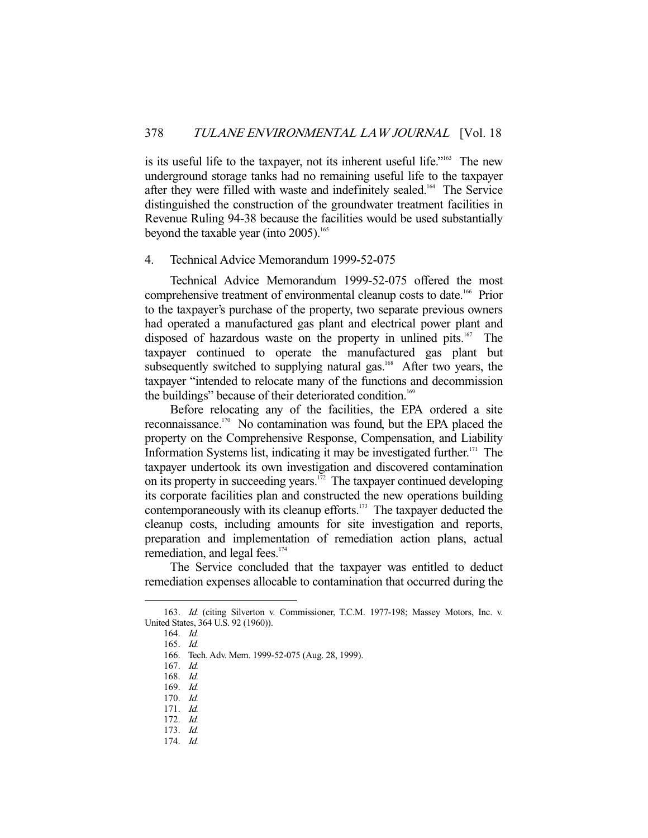is its useful life to the taxpayer, not its inherent useful life."<sup>163</sup> The new underground storage tanks had no remaining useful life to the taxpayer after they were filled with waste and indefinitely sealed.<sup>164</sup> The Service distinguished the construction of the groundwater treatment facilities in Revenue Ruling 94-38 because the facilities would be used substantially beyond the taxable year (into  $2005$ ).<sup>165</sup>

#### 4. Technical Advice Memorandum 1999-52-075

 Technical Advice Memorandum 1999-52-075 offered the most comprehensive treatment of environmental cleanup costs to date.166 Prior to the taxpayer's purchase of the property, two separate previous owners had operated a manufactured gas plant and electrical power plant and disposed of hazardous waste on the property in unlined pits.<sup>167</sup> The taxpayer continued to operate the manufactured gas plant but subsequently switched to supplying natural gas.<sup>168</sup> After two years, the taxpayer "intended to relocate many of the functions and decommission the buildings" because of their deteriorated condition.<sup>169</sup>

 Before relocating any of the facilities, the EPA ordered a site reconnaissance.170 No contamination was found, but the EPA placed the property on the Comprehensive Response, Compensation, and Liability Information Systems list, indicating it may be investigated further.<sup>171</sup> The taxpayer undertook its own investigation and discovered contamination on its property in succeeding years.<sup>172</sup> The taxpayer continued developing its corporate facilities plan and constructed the new operations building contemporaneously with its cleanup efforts.<sup>173</sup> The taxpayer deducted the cleanup costs, including amounts for site investigation and reports, preparation and implementation of remediation action plans, actual remediation, and legal fees.<sup>174</sup>

 The Service concluded that the taxpayer was entitled to deduct remediation expenses allocable to contamination that occurred during the

 <sup>163.</sup> Id. (citing Silverton v. Commissioner, T.C.M. 1977-198; Massey Motors, Inc. v. United States, 364 U.S. 92 (1960)).

 <sup>164.</sup> Id.

 <sup>165.</sup> Id.

 <sup>166.</sup> Tech. Adv. Mem. 1999-52-075 (Aug. 28, 1999).

 <sup>167.</sup> Id.

 <sup>168.</sup> Id.

 <sup>169.</sup> Id.

 <sup>170.</sup> Id. 171. Id.

 <sup>172.</sup> Id.

 <sup>173.</sup> Id.

 <sup>174.</sup> Id.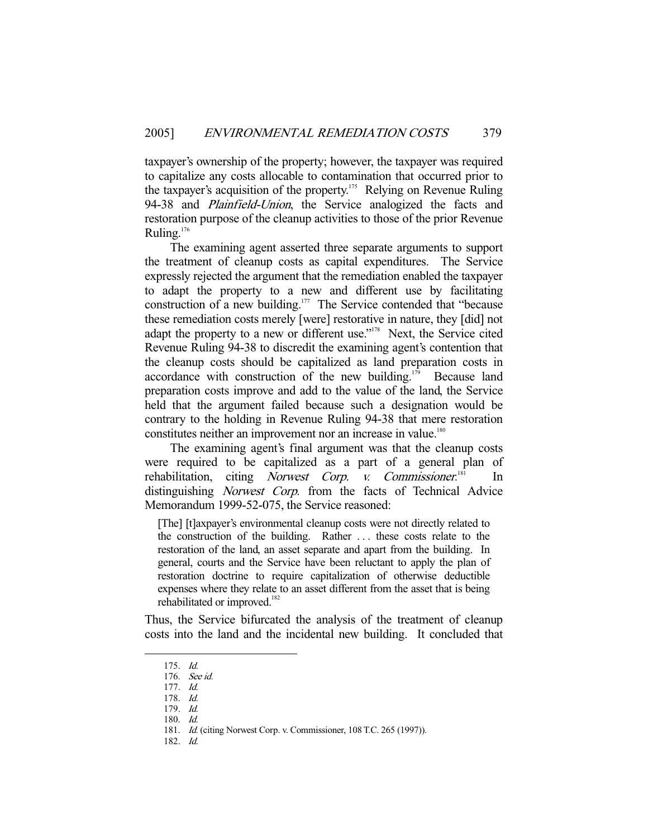taxpayer's ownership of the property; however, the taxpayer was required to capitalize any costs allocable to contamination that occurred prior to the taxpayer's acquisition of the property.<sup>175</sup> Relying on Revenue Ruling 94-38 and *Plainfield-Union*, the Service analogized the facts and restoration purpose of the cleanup activities to those of the prior Revenue Ruling.<sup>176</sup>

 The examining agent asserted three separate arguments to support the treatment of cleanup costs as capital expenditures. The Service expressly rejected the argument that the remediation enabled the taxpayer to adapt the property to a new and different use by facilitating construction of a new building.<sup>177</sup> The Service contended that "because" these remediation costs merely [were] restorative in nature, they [did] not adapt the property to a new or different use."<sup>178</sup> Next, the Service cited Revenue Ruling 94-38 to discredit the examining agent's contention that the cleanup costs should be capitalized as land preparation costs in accordance with construction of the new building.<sup>179</sup> Because land preparation costs improve and add to the value of the land, the Service held that the argument failed because such a designation would be contrary to the holding in Revenue Ruling 94-38 that mere restoration constitutes neither an improvement nor an increase in value.<sup>180</sup>

 The examining agent's final argument was that the cleanup costs were required to be capitalized as a part of a general plan of rehabilitation, citing Norwest Corp. v. Commissioner.<sup>181</sup>  $In$ distinguishing Norwest Corp. from the facts of Technical Advice Memorandum 1999-52-075, the Service reasoned:

[The] [t]axpayer's environmental cleanup costs were not directly related to the construction of the building. Rather . . . these costs relate to the restoration of the land, an asset separate and apart from the building. In general, courts and the Service have been reluctant to apply the plan of restoration doctrine to require capitalization of otherwise deductible expenses where they relate to an asset different from the asset that is being rehabilitated or improved.<sup>182</sup>

Thus, the Service bifurcated the analysis of the treatment of cleanup costs into the land and the incidental new building. It concluded that

-

182. Id.

 <sup>175.</sup> Id.

 <sup>176.</sup> See id.

 <sup>177.</sup> Id.

 <sup>178.</sup> Id.

 <sup>179.</sup> Id.

 <sup>180.</sup> Id.

 <sup>181.</sup> Id. (citing Norwest Corp. v. Commissioner, 108 T.C. 265 (1997)).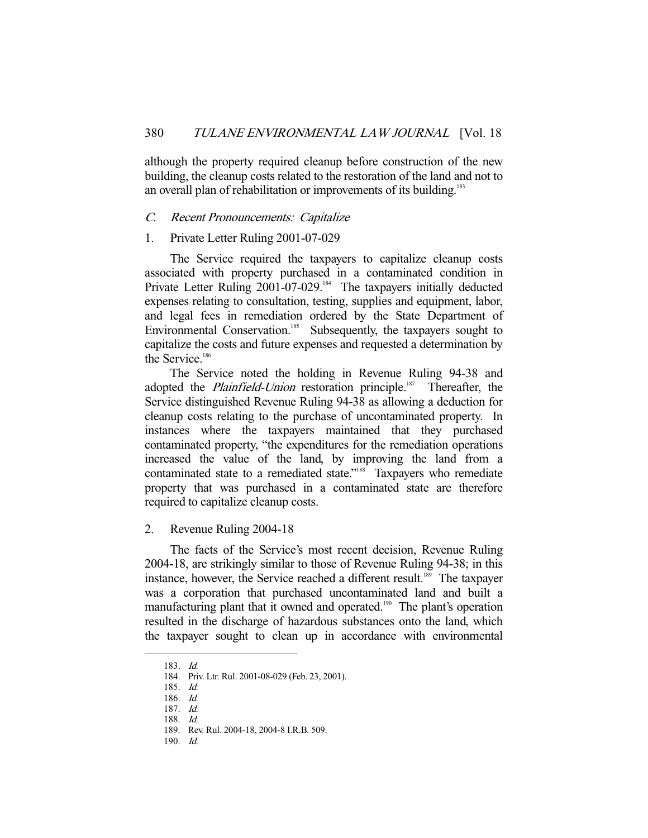although the property required cleanup before construction of the new building, the cleanup costs related to the restoration of the land and not to an overall plan of rehabilitation or improvements of its building.<sup>183</sup>

#### C. Recent Pronouncements: Capitalize

#### 1. Private Letter Ruling 2001-07-029

 The Service required the taxpayers to capitalize cleanup costs associated with property purchased in a contaminated condition in Private Letter Ruling 2001-07-029.<sup>184</sup> The taxpayers initially deducted expenses relating to consultation, testing, supplies and equipment, labor, and legal fees in remediation ordered by the State Department of Environmental Conservation.<sup>185</sup> Subsequently, the taxpayers sought to capitalize the costs and future expenses and requested a determination by the Service. $186$ 

 The Service noted the holding in Revenue Ruling 94-38 and adopted the *Plainfield-Union* restoration principle.<sup>187</sup> Thereafter, the Service distinguished Revenue Ruling 94-38 as allowing a deduction for cleanup costs relating to the purchase of uncontaminated property. In instances where the taxpayers maintained that they purchased contaminated property, "the expenditures for the remediation operations increased the value of the land, by improving the land from a contaminated state to a remediated state."<sup>188</sup> Taxpayers who remediate property that was purchased in a contaminated state are therefore required to capitalize cleanup costs.

## 2. Revenue Ruling 2004-18

 The facts of the Service's most recent decision, Revenue Ruling 2004-18, are strikingly similar to those of Revenue Ruling 94-38; in this instance, however, the Service reached a different result.<sup>189</sup> The taxpayer was a corporation that purchased uncontaminated land and built a manufacturing plant that it owned and operated.<sup>190</sup> The plant's operation resulted in the discharge of hazardous substances onto the land, which the taxpayer sought to clean up in accordance with environmental

-

190.  $Id$ 

 <sup>183.</sup> Id.

 <sup>184.</sup> Priv. Ltr. Rul. 2001-08-029 (Feb. 23, 2001).

 <sup>185.</sup> Id.

 <sup>186.</sup> Id.

 <sup>187.</sup> Id.

 <sup>188.</sup> Id.

 <sup>189.</sup> Rev. Rul. 2004-18, 2004-8 I.R.B. 509.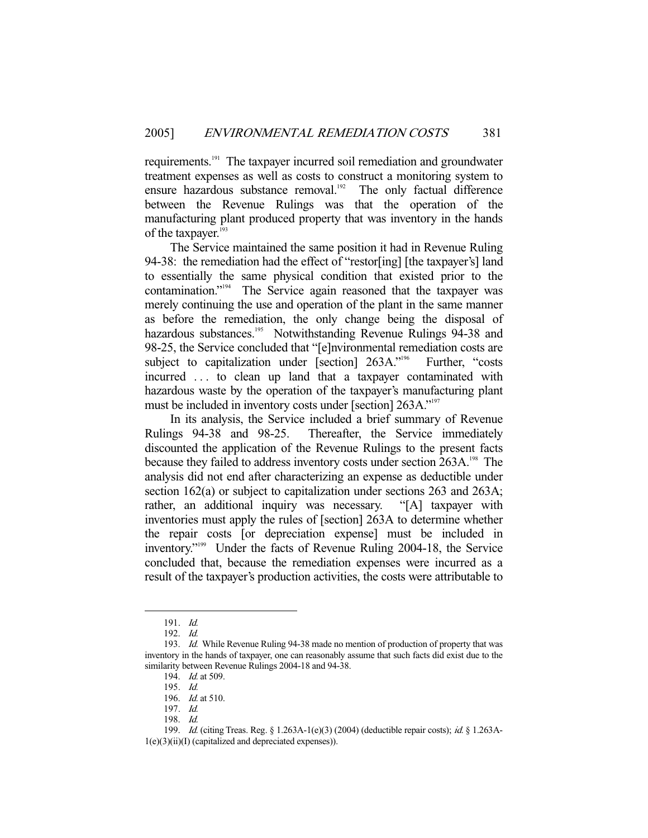requirements.191 The taxpayer incurred soil remediation and groundwater treatment expenses as well as costs to construct a monitoring system to ensure hazardous substance removal.<sup>192</sup> The only factual difference between the Revenue Rulings was that the operation of the manufacturing plant produced property that was inventory in the hands of the taxpayer.<sup>193</sup>

 The Service maintained the same position it had in Revenue Ruling 94-38: the remediation had the effect of "restor[ing] [the taxpayer's] land to essentially the same physical condition that existed prior to the contamination."194 The Service again reasoned that the taxpayer was merely continuing the use and operation of the plant in the same manner as before the remediation, the only change being the disposal of hazardous substances.<sup>195</sup> Notwithstanding Revenue Rulings 94-38 and 98-25, the Service concluded that "[e]nvironmental remediation costs are subject to capitalization under [section] 263A."<sup>196</sup> Further, "costs incurred . . . to clean up land that a taxpayer contaminated with hazardous waste by the operation of the taxpayer's manufacturing plant must be included in inventory costs under [section] 263A."<sup>197</sup>

 In its analysis, the Service included a brief summary of Revenue Rulings 94-38 and 98-25. Thereafter, the Service immediately discounted the application of the Revenue Rulings to the present facts because they failed to address inventory costs under section 263A.<sup>198</sup> The analysis did not end after characterizing an expense as deductible under section 162(a) or subject to capitalization under sections 263 and 263A; rather, an additional inquiry was necessary. "[A] taxpayer with inventories must apply the rules of [section] 263A to determine whether the repair costs [or depreciation expense] must be included in inventory."199 Under the facts of Revenue Ruling 2004-18, the Service concluded that, because the remediation expenses were incurred as a result of the taxpayer's production activities, the costs were attributable to

 <sup>191.</sup> Id.

 <sup>192.</sup> Id.

<sup>193.</sup> Id. While Revenue Ruling 94-38 made no mention of production of property that was inventory in the hands of taxpayer, one can reasonably assume that such facts did exist due to the similarity between Revenue Rulings 2004-18 and 94-38.

 <sup>194.</sup> Id. at 509.

 <sup>195.</sup> Id.

 <sup>196.</sup> Id. at 510.

 <sup>197.</sup> Id.

 <sup>198.</sup> Id.

 <sup>199.</sup> Id. (citing Treas. Reg. § 1.263A-1(e)(3) (2004) (deductible repair costs); id. § 1.263A-1(e)(3)(ii)(I) (capitalized and depreciated expenses)).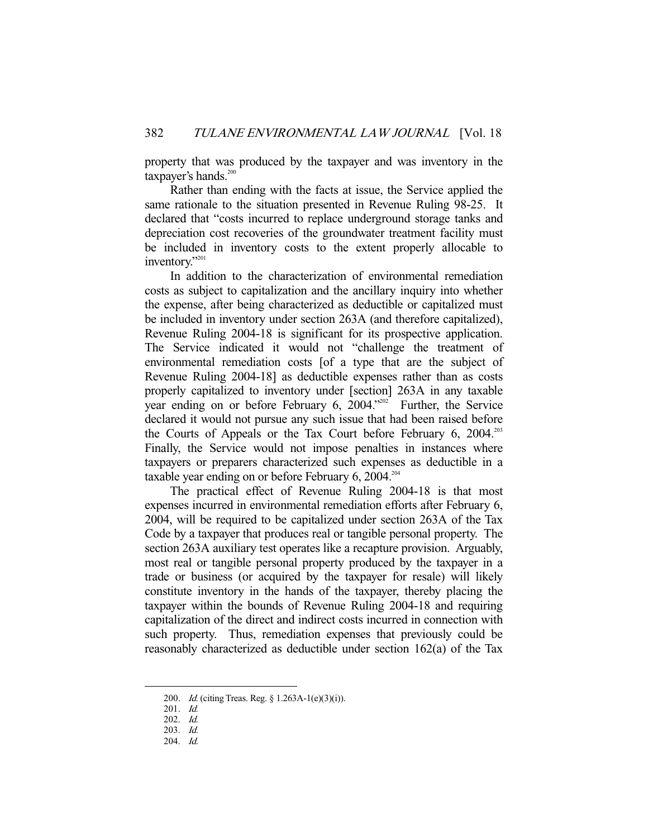property that was produced by the taxpayer and was inventory in the taxpayer's hands.<sup>200</sup>

 Rather than ending with the facts at issue, the Service applied the same rationale to the situation presented in Revenue Ruling 98-25. It declared that "costs incurred to replace underground storage tanks and depreciation cost recoveries of the groundwater treatment facility must be included in inventory costs to the extent properly allocable to inventory."<sup>201</sup>

 In addition to the characterization of environmental remediation costs as subject to capitalization and the ancillary inquiry into whether the expense, after being characterized as deductible or capitalized must be included in inventory under section 263A (and therefore capitalized), Revenue Ruling 2004-18 is significant for its prospective application. The Service indicated it would not "challenge the treatment of environmental remediation costs [of a type that are the subject of Revenue Ruling 2004-18] as deductible expenses rather than as costs properly capitalized to inventory under [section] 263A in any taxable year ending on or before February 6, 2004. $2004$ .<sup>2022</sup> Further, the Service declared it would not pursue any such issue that had been raised before the Courts of Appeals or the Tax Court before February 6, 2004.<sup>203</sup> Finally, the Service would not impose penalties in instances where taxpayers or preparers characterized such expenses as deductible in a taxable year ending on or before February  $6, 2004$ .<sup>204</sup>

 The practical effect of Revenue Ruling 2004-18 is that most expenses incurred in environmental remediation efforts after February 6, 2004, will be required to be capitalized under section 263A of the Tax Code by a taxpayer that produces real or tangible personal property. The section 263A auxiliary test operates like a recapture provision. Arguably, most real or tangible personal property produced by the taxpayer in a trade or business (or acquired by the taxpayer for resale) will likely constitute inventory in the hands of the taxpayer, thereby placing the taxpayer within the bounds of Revenue Ruling 2004-18 and requiring capitalization of the direct and indirect costs incurred in connection with such property. Thus, remediation expenses that previously could be reasonably characterized as deductible under section 162(a) of the Tax

 <sup>200.</sup> Id. (citing Treas. Reg. § 1.263A-1(e)(3)(i)).

 <sup>201.</sup> Id.

 <sup>202.</sup> Id.

 <sup>203.</sup> Id.

 <sup>204.</sup> Id.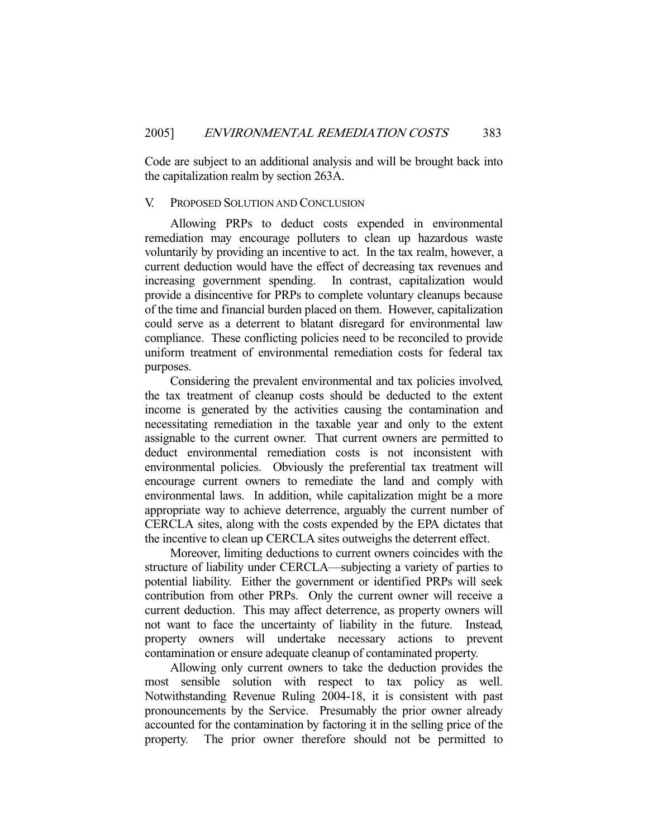Code are subject to an additional analysis and will be brought back into the capitalization realm by section 263A.

#### V. PROPOSED SOLUTION AND CONCLUSION

 Allowing PRPs to deduct costs expended in environmental remediation may encourage polluters to clean up hazardous waste voluntarily by providing an incentive to act. In the tax realm, however, a current deduction would have the effect of decreasing tax revenues and increasing government spending. In contrast, capitalization would provide a disincentive for PRPs to complete voluntary cleanups because of the time and financial burden placed on them. However, capitalization could serve as a deterrent to blatant disregard for environmental law compliance. These conflicting policies need to be reconciled to provide uniform treatment of environmental remediation costs for federal tax purposes.

 Considering the prevalent environmental and tax policies involved, the tax treatment of cleanup costs should be deducted to the extent income is generated by the activities causing the contamination and necessitating remediation in the taxable year and only to the extent assignable to the current owner. That current owners are permitted to deduct environmental remediation costs is not inconsistent with environmental policies. Obviously the preferential tax treatment will encourage current owners to remediate the land and comply with environmental laws. In addition, while capitalization might be a more appropriate way to achieve deterrence, arguably the current number of CERCLA sites, along with the costs expended by the EPA dictates that the incentive to clean up CERCLA sites outweighs the deterrent effect.

 Moreover, limiting deductions to current owners coincides with the structure of liability under CERCLA—subjecting a variety of parties to potential liability. Either the government or identified PRPs will seek contribution from other PRPs. Only the current owner will receive a current deduction. This may affect deterrence, as property owners will not want to face the uncertainty of liability in the future. Instead, property owners will undertake necessary actions to prevent contamination or ensure adequate cleanup of contaminated property.

 Allowing only current owners to take the deduction provides the most sensible solution with respect to tax policy as well. Notwithstanding Revenue Ruling 2004-18, it is consistent with past pronouncements by the Service. Presumably the prior owner already accounted for the contamination by factoring it in the selling price of the property. The prior owner therefore should not be permitted to